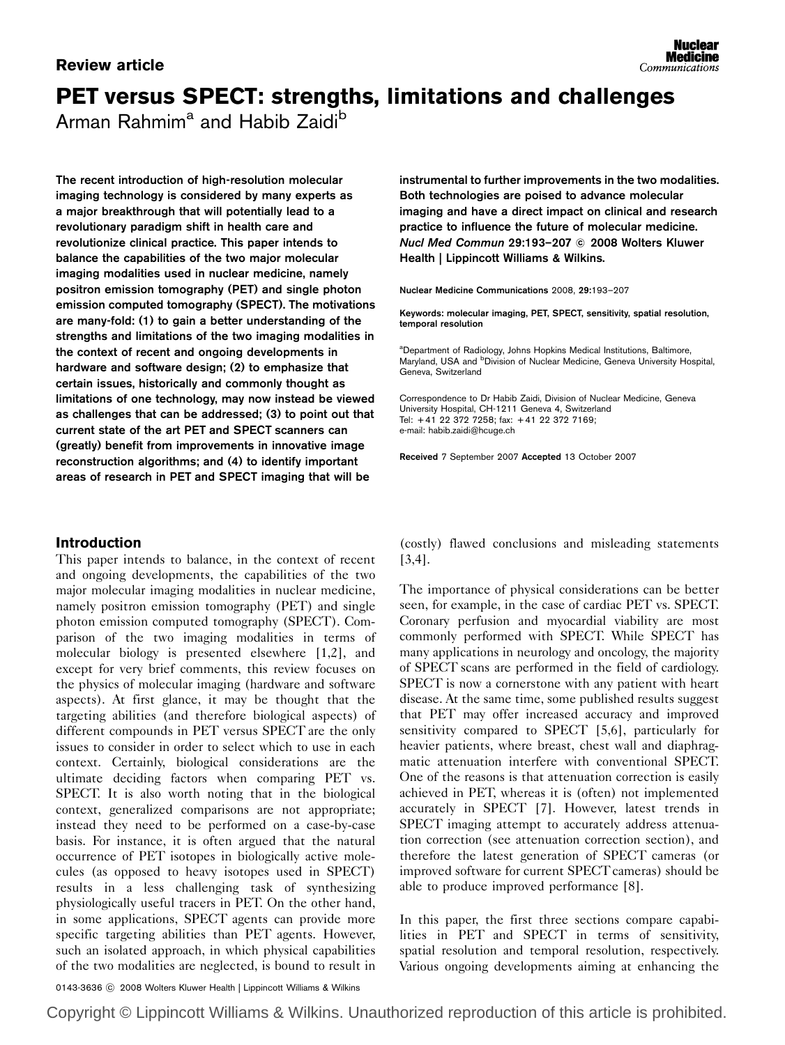# Review article

# PET versus SPECT: strengths, limitations and challenges

Arman Rahmim<sup>a</sup> and Habib Zaidi<sup>b</sup>

The recent introduction of high-resolution molecular imaging technology is considered by many experts as a major breakthrough that will potentially lead to a revolutionary paradigm shift in health care and revolutionize clinical practice. This paper intends to balance the capabilities of the two major molecular imaging modalities used in nuclear medicine, namely positron emission tomography (PET) and single photon emission computed tomography (SPECT). The motivations are many-fold: (1) to gain a better understanding of the strengths and limitations of the two imaging modalities in the context of recent and ongoing developments in hardware and software design; (2) to emphasize that certain issues, historically and commonly thought as limitations of one technology, may now instead be viewed as challenges that can be addressed; (3) to point out that current state of the art PET and SPECT scanners can (greatly) benefit from improvements in innovative image reconstruction algorithms; and (4) to identify important areas of research in PET and SPECT imaging that will be

Introduction

This paper intends to balance, in the context of recent and ongoing developments, the capabilities of the two major molecular imaging modalities in nuclear medicine, namely positron emission tomography (PET) and single photon emission computed tomography (SPECT). Comparison of the two imaging modalities in terms of molecular biology is presented elsewhere [1,2], and except for very brief comments, this review focuses on the physics of molecular imaging (hardware and software aspects). At first glance, it may be thought that the targeting abilities (and therefore biological aspects) of different compounds in PET versus SPECT are the only issues to consider in order to select which to use in each context. Certainly, biological considerations are the ultimate deciding factors when comparing PET vs. SPECT. It is also worth noting that in the biological context, generalized comparisons are not appropriate; instead they need to be performed on a case-by-case basis. For instance, it is often argued that the natural occurrence of PET isotopes in biologically active molecules (as opposed to heavy isotopes used in SPECT) results in a less challenging task of synthesizing physiologically useful tracers in PET. On the other hand, in some applications, SPECT agents can provide more specific targeting abilities than PET agents. However, such an isolated approach, in which physical capabilities of the two modalities are neglected, is bound to result in

instrumental to further improvements in the two modalities. Both technologies are poised to advance molecular imaging and have a direct impact on clinical and research practice to influence the future of molecular medicine. Nucl Med Commun 29:193-207 © 2008 Wolters Kluwer Health | Lippincott Williams & Wilkins.

Nuclear Medicine Communications 2008, 29:193–207

Keywords: molecular imaging, PET, SPECT, sensitivity, spatial resolution, temporal resolution

<sup>a</sup>Department of Radiology, Johns Hopkins Medical Institutions, Baltimore, Maryland, USA and <sup>b</sup>Division of Nuclear Medicine, Geneva University Hospital, Geneva, Switzerland

Correspondence to Dr Habib Zaidi, Division of Nuclear Medicine, Geneva University Hospital, CH-1211 Geneva 4, Switzerland Tel: + 41 22 372 7258; fax: + 41 22 372 7169; e-mail: habib.zaidi@hcuge.ch

Received 7 September 2007 Accepted 13 October 2007

(costly) flawed conclusions and misleading statements [3,4].

The importance of physical considerations can be better seen, for example, in the case of cardiac PET vs. SPECT. Coronary perfusion and myocardial viability are most commonly performed with SPECT. While SPECT has many applications in neurology and oncology, the majority of SPECT scans are performed in the field of cardiology. SPECT is now a cornerstone with any patient with heart disease. At the same time, some published results suggest that PET may offer increased accuracy and improved sensitivity compared to SPECT [5,6], particularly for heavier patients, where breast, chest wall and diaphragmatic attenuation interfere with conventional SPECT. One of the reasons is that attenuation correction is easily achieved in PET, whereas it is (often) not implemented accurately in SPECT [7]. However, latest trends in SPECT imaging attempt to accurately address attenuation correction (see attenuation correction section), and therefore the latest generation of SPECT cameras (or improved software for current SPECT cameras) should be able to produce improved performance [8].

In this paper, the first three sections compare capabilities in PET and SPECT in terms of sensitivity, spatial resolution and temporal resolution, respectively. Various ongoing developments aiming at enhancing the

0143-3636 C 2008 Wolters Kluwer Health | Lippincott Williams & Wilkins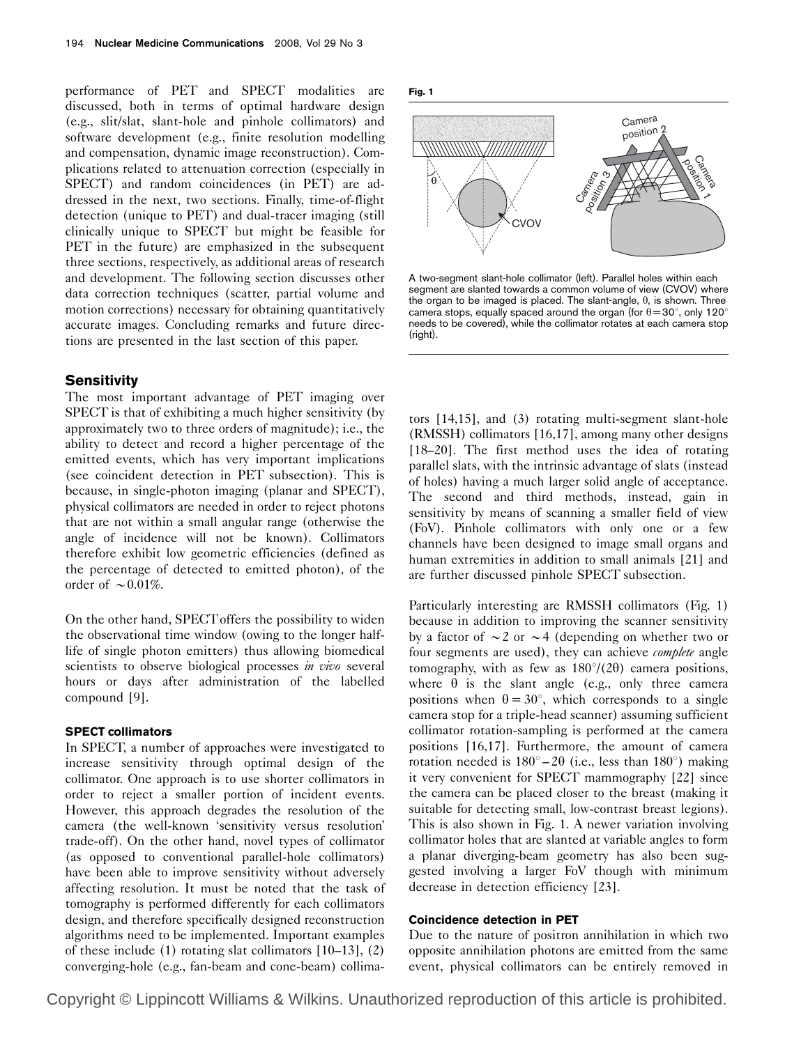performance of PET and SPECT modalities are discussed, both in terms of optimal hardware design (e.g., slit/slat, slant-hole and pinhole collimators) and software development (e.g., finite resolution modelling and compensation, dynamic image reconstruction). Complications related to attenuation correction (especially in SPECT) and random coincidences (in PET) are addressed in the next, two sections. Finally, time-of-flight detection (unique to PET) and dual-tracer imaging (still clinically unique to SPECT but might be feasible for PET in the future) are emphasized in the subsequent three sections, respectively, as additional areas of research and development. The following section discusses other data correction techniques (scatter, partial volume and motion corrections) necessary for obtaining quantitatively accurate images. Concluding remarks and future directions are presented in the last section of this paper.

## **Sensitivity**

The most important advantage of PET imaging over SPECT is that of exhibiting a much higher sensitivity (by approximately two to three orders of magnitude); i.e., the ability to detect and record a higher percentage of the emitted events, which has very important implications (see coincident detection in PET subsection). This is because, in single-photon imaging (planar and SPECT), physical collimators are needed in order to reject photons that are not within a small angular range (otherwise the angle of incidence will not be known). Collimators therefore exhibit low geometric efficiencies (defined as the percentage of detected to emitted photon), of the order of  $\sim 0.01\%$ .

On the other hand, SPECToffers the possibility to widen the observational time window (owing to the longer halflife of single photon emitters) thus allowing biomedical scientists to observe biological processes in vivo several hours or days after administration of the labelled compound [9].

#### SPECT collimators

In SPECT, a number of approaches were investigated to increase sensitivity through optimal design of the collimator. One approach is to use shorter collimators in order to reject a smaller portion of incident events. However, this approach degrades the resolution of the camera (the well-known 'sensitivity versus resolution' trade-off). On the other hand, novel types of collimator (as opposed to conventional parallel-hole collimators) have been able to improve sensitivity without adversely affecting resolution. It must be noted that the task of tomography is performed differently for each collimators design, and therefore specifically designed reconstruction algorithms need to be implemented. Important examples of these include (1) rotating slat collimators [10–13], (2) converging-hole (e.g., fan-beam and cone-beam) collimaFig. 1



A two-segment slant-hole collimator (left). Parallel holes within each segment are slanted towards a common volume of view (CVOV) where the organ to be imaged is placed. The slant-angle,  $\theta$ , is shown. Three camera stops, equally spaced around the organ (for  $\theta = 30^{\circ}$ , only 120<sup>°</sup> needs to be covered), while the collimator rotates at each camera stop (right).

tors [14,15], and (3) rotating multi-segment slant-hole (RMSSH) collimators [16,17], among many other designs [18–20]. The first method uses the idea of rotating parallel slats, with the intrinsic advantage of slats (instead of holes) having a much larger solid angle of acceptance. The second and third methods, instead, gain in sensitivity by means of scanning a smaller field of view (FoV). Pinhole collimators with only one or a few channels have been designed to image small organs and human extremities in addition to small animals [21] and are further discussed pinhole SPECT subsection.

Particularly interesting are RMSSH collimators (Fig. 1) because in addition to improving the scanner sensitivity by a factor of  $\sim$  2 or  $\sim$  4 (depending on whether two or four segments are used), they can achieve *complete* angle tomography, with as few as  $180^{\circ}/(2\theta)$  camera positions, where  $\theta$  is the slant angle (e.g., only three camera positions when  $\theta = 30^{\circ}$ , which corresponds to a single camera stop for a triple-head scanner) assuming sufficient collimator rotation-sampling is performed at the camera positions [16,17]. Furthermore, the amount of camera rotation needed is  $180^\circ - 2\theta$  (i.e., less than  $180^\circ$ ) making it very convenient for SPECT mammography [22] since the camera can be placed closer to the breast (making it suitable for detecting small, low-contrast breast legions). This is also shown in Fig. 1. A newer variation involving collimator holes that are slanted at variable angles to form a planar diverging-beam geometry has also been suggested involving a larger FoV though with minimum decrease in detection efficiency [23].

#### Coincidence detection in PET

Due to the nature of positron annihilation in which two opposite annihilation photons are emitted from the same event, physical collimators can be entirely removed in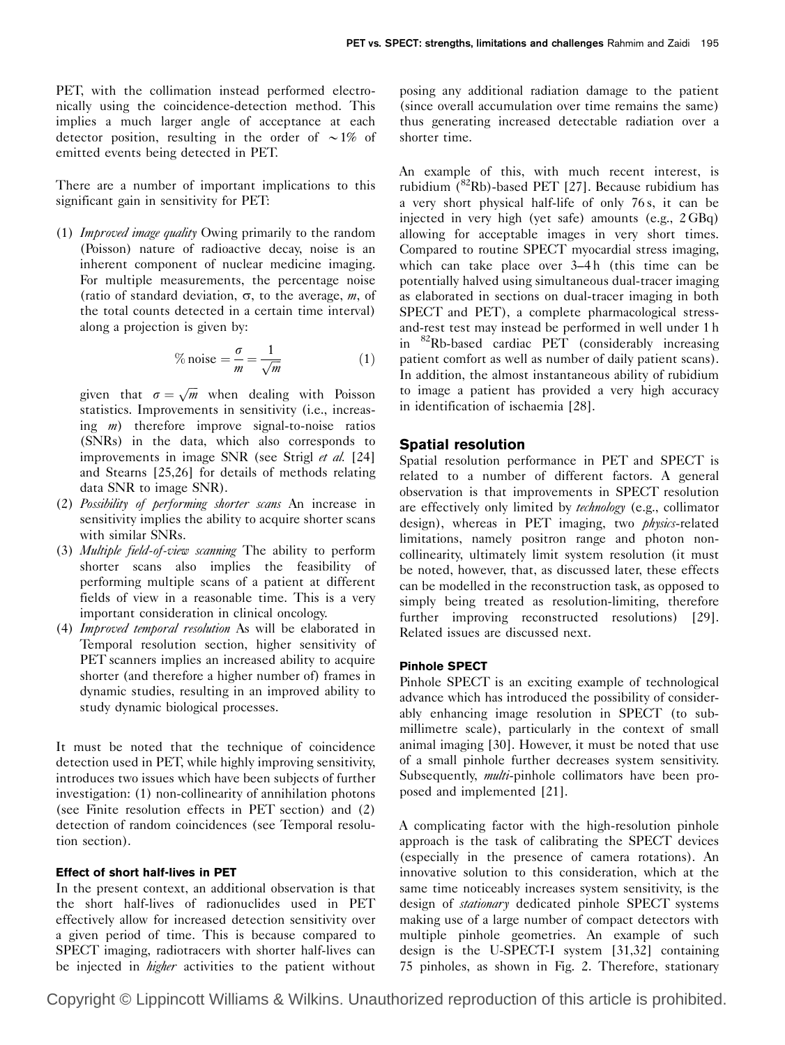PET, with the collimation instead performed electronically using the coincidence-detection method. This implies a much larger angle of acceptance at each detector position, resulting in the order of  $\sim 1\%$  of emitted events being detected in PET.

There are a number of important implications to this significant gain in sensitivity for PET:

(1) Improved image quality Owing primarily to the random (Poisson) nature of radioactive decay, noise is an inherent component of nuclear medicine imaging. For multiple measurements, the percentage noise (ratio of standard deviation,  $\sigma$ , to the average, m, of the total counts detected in a certain time interval) along a projection is given by:

$$
\% \text{ noise} = \frac{\sigma}{m} = \frac{1}{\sqrt{m}} \tag{1}
$$

given that  $\sigma = \sqrt{m}$  when dealing with Poisson statistics. Improvements in sensitivity (i.e., increasing m) therefore improve signal-to-noise ratios (SNRs) in the data, which also corresponds to improvements in image SNR (see Strigl et al. [24] and Stearns [25,26] for details of methods relating data SNR to image SNR).

- (2) Possibility of performing shorter scans An increase in sensitivity implies the ability to acquire shorter scans with similar SNRs.
- (3) Multiple field-of-view scanning The ability to perform shorter scans also implies the feasibility of performing multiple scans of a patient at different fields of view in a reasonable time. This is a very important consideration in clinical oncology.
- (4) Improved temporal resolution As will be elaborated in Temporal resolution section, higher sensitivity of PET scanners implies an increased ability to acquire shorter (and therefore a higher number of) frames in dynamic studies, resulting in an improved ability to study dynamic biological processes.

It must be noted that the technique of coincidence detection used in PET, while highly improving sensitivity, introduces two issues which have been subjects of further investigation: (1) non-collinearity of annihilation photons (see Finite resolution effects in PET section) and (2) detection of random coincidences (see Temporal resolution section).

#### Effect of short half-lives in PET

In the present context, an additional observation is that the short half-lives of radionuclides used in PET effectively allow for increased detection sensitivity over a given period of time. This is because compared to SPECT imaging, radiotracers with shorter half-lives can be injected in *higher* activities to the patient without

posing any additional radiation damage to the patient (since overall accumulation over time remains the same) thus generating increased detectable radiation over a shorter time.

An example of this, with much recent interest, is rubidium  $(8^{2}Rb)$ -based PET [27]. Because rubidium has a very short physical half-life of only 76 s, it can be injected in very high (yet safe) amounts (e.g., 2 GBq) allowing for acceptable images in very short times. Compared to routine SPECT myocardial stress imaging, which can take place over  $3-4h$  (this time can be potentially halved using simultaneous dual-tracer imaging as elaborated in sections on dual-tracer imaging in both SPECT and PET), a complete pharmacological stressand-rest test may instead be performed in well under 1 h in 82Rb-based cardiac PET (considerably increasing patient comfort as well as number of daily patient scans). In addition, the almost instantaneous ability of rubidium to image a patient has provided a very high accuracy in identification of ischaemia [28].

#### Spatial resolution

Spatial resolution performance in PET and SPECT is related to a number of different factors. A general observation is that improvements in SPECT resolution are effectively only limited by *technology* (e.g., collimator design), whereas in PET imaging, two *physics*-related limitations, namely positron range and photon noncollinearity, ultimately limit system resolution (it must be noted, however, that, as discussed later, these effects can be modelled in the reconstruction task, as opposed to simply being treated as resolution-limiting, therefore further improving reconstructed resolutions) [29]. Related issues are discussed next.

## Pinhole SPECT

Pinhole SPECT is an exciting example of technological advance which has introduced the possibility of considerably enhancing image resolution in SPECT (to submillimetre scale), particularly in the context of small animal imaging [30]. However, it must be noted that use of a small pinhole further decreases system sensitivity. Subsequently, *multi*-pinhole collimators have been proposed and implemented [21].

A complicating factor with the high-resolution pinhole approach is the task of calibrating the SPECT devices (especially in the presence of camera rotations). An innovative solution to this consideration, which at the same time noticeably increases system sensitivity, is the design of *stationary* dedicated pinhole SPECT systems making use of a large number of compact detectors with multiple pinhole geometries. An example of such design is the U-SPECT-I system [31,32] containing 75 pinholes, as shown in Fig. 2. Therefore, stationary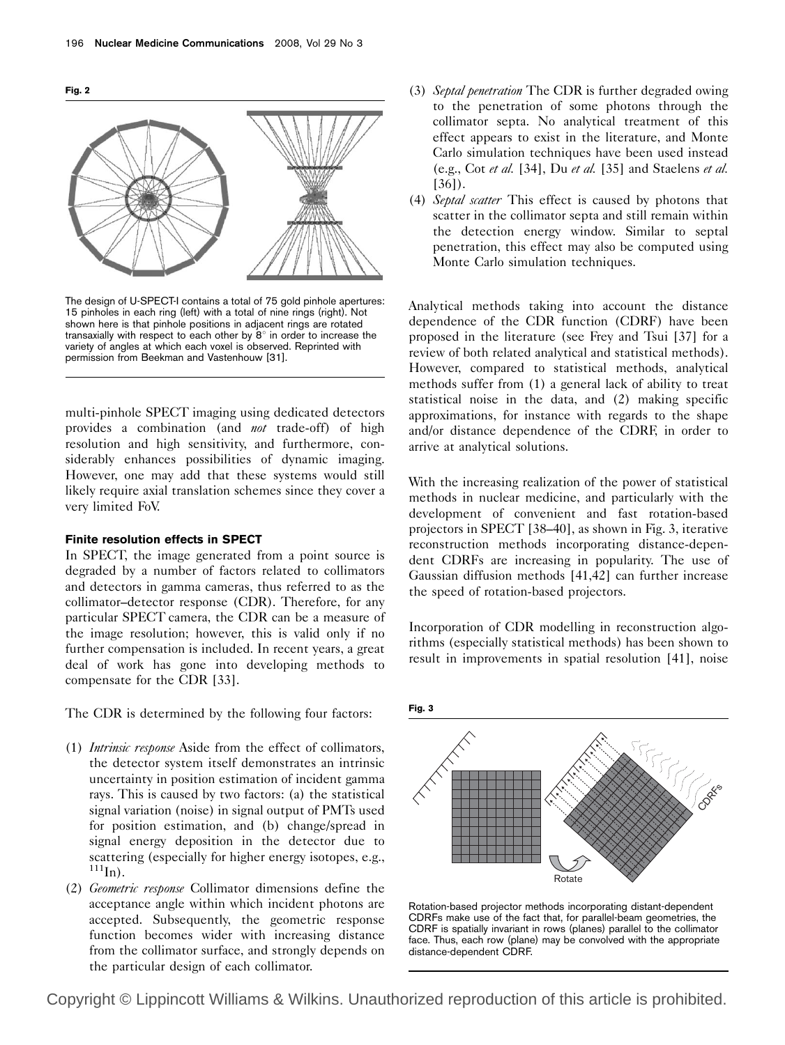



The design of U-SPECT-I contains a total of 75 gold pinhole apertures: 15 pinholes in each ring (left) with a total of nine rings (right). Not shown here is that pinhole positions in adjacent rings are rotated transaxially with respect to each other by  $8^\circ$  in order to increase the variety of angles at which each voxel is observed. Reprinted with permission from Beekman and Vastenhouw [31].

multi-pinhole SPECT imaging using dedicated detectors provides a combination (and *not* trade-off) of high resolution and high sensitivity, and furthermore, considerably enhances possibilities of dynamic imaging. However, one may add that these systems would still likely require axial translation schemes since they cover a very limited FoV.

#### Finite resolution effects in SPECT

In SPECT, the image generated from a point source is degraded by a number of factors related to collimators and detectors in gamma cameras, thus referred to as the collimator–detector response (CDR). Therefore, for any particular SPECT camera, the CDR can be a measure of the image resolution; however, this is valid only if no further compensation is included. In recent years, a great deal of work has gone into developing methods to compensate for the CDR [33].

The CDR is determined by the following four factors:

- (1) Intrinsic response Aside from the effect of collimators, the detector system itself demonstrates an intrinsic uncertainty in position estimation of incident gamma rays. This is caused by two factors: (a) the statistical signal variation (noise) in signal output of PMTs used for position estimation, and (b) change/spread in signal energy deposition in the detector due to scattering (especially for higher energy isotopes, e.g.,  $^{111}$ In).
- (2) Geometric response Collimator dimensions define the acceptance angle within which incident photons are accepted. Subsequently, the geometric response function becomes wider with increasing distance from the collimator surface, and strongly depends on the particular design of each collimator.
- (3) Septal penetration The CDR is further degraded owing to the penetration of some photons through the collimator septa. No analytical treatment of this effect appears to exist in the literature, and Monte Carlo simulation techniques have been used instead (e.g., Cot et al. [34], Du et al. [35] and Staelens et al. [36]).
- (4) Septal scatter This effect is caused by photons that scatter in the collimator septa and still remain within the detection energy window. Similar to septal penetration, this effect may also be computed using Monte Carlo simulation techniques.

Analytical methods taking into account the distance dependence of the CDR function (CDRF) have been proposed in the literature (see Frey and Tsui [37] for a review of both related analytical and statistical methods). However, compared to statistical methods, analytical methods suffer from (1) a general lack of ability to treat statistical noise in the data, and (2) making specific approximations, for instance with regards to the shape and/or distance dependence of the CDRF, in order to arrive at analytical solutions.

With the increasing realization of the power of statistical methods in nuclear medicine, and particularly with the development of convenient and fast rotation-based projectors in SPECT [38–40], as shown in Fig. 3, iterative reconstruction methods incorporating distance-dependent CDRFs are increasing in popularity. The use of Gaussian diffusion methods [41,42] can further increase the speed of rotation-based projectors.

Incorporation of CDR modelling in reconstruction algorithms (especially statistical methods) has been shown to result in improvements in spatial resolution [41], noise



Rotation-based projector methods incorporating distant-dependent CDRFs make use of the fact that, for parallel-beam geometries, the CDRF is spatially invariant in rows (planes) parallel to the collimator face. Thus, each row (plane) may be convolved with the appropriate distance-dependent CDRF.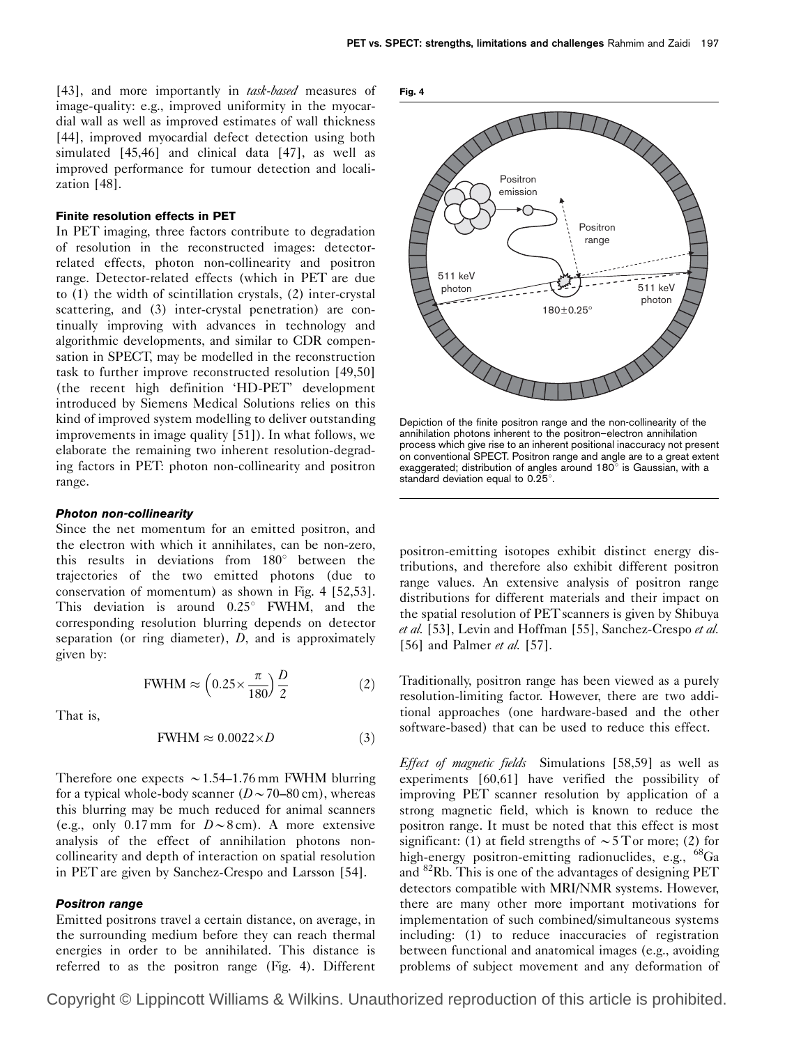[43], and more importantly in *task-based* measures of image-quality: e.g., improved uniformity in the myocardial wall as well as improved estimates of wall thickness [44], improved myocardial defect detection using both simulated [45,46] and clinical data [47], as well as improved performance for tumour detection and localization [48].

#### Finite resolution effects in PET

In PET imaging, three factors contribute to degradation of resolution in the reconstructed images: detectorrelated effects, photon non-collinearity and positron range. Detector-related effects (which in PET are due to (1) the width of scintillation crystals, (2) inter-crystal scattering, and (3) inter-crystal penetration) are continually improving with advances in technology and algorithmic developments, and similar to CDR compensation in SPECT, may be modelled in the reconstruction task to further improve reconstructed resolution [49,50] (the recent high definition 'HD-PET' development introduced by Siemens Medical Solutions relies on this kind of improved system modelling to deliver outstanding improvements in image quality [51]). In what follows, we elaborate the remaining two inherent resolution-degrading factors in PET: photon non-collinearity and positron range.

#### Photon non-collinearity

Since the net momentum for an emitted positron, and the electron with which it annihilates, can be non-zero, this results in deviations from  $180^{\circ}$  between the trajectories of the two emitted photons (due to conservation of momentum) as shown in Fig. 4 [52,53]. This deviation is around  $0.25^{\circ}$  FWHM, and the corresponding resolution blurring depends on detector separation (or ring diameter),  $D$ , and is approximately given by:

FWHM  $\approx \left(0.25 \times \frac{\pi}{18}\right)$ 

That is,

$$
\text{FWHM} \approx 0.0022 \times D \tag{3}
$$

180  $\int_{\Omega}$   $\pi \wedge D$ 

 $\frac{2}{2}$  (2)

Therefore one expects  $\sim$  1.54–1.76 mm FWHM blurring for a typical whole-body scanner  $(D \sim 70$ –80 cm), whereas this blurring may be much reduced for animal scanners (e.g., only 0.17 mm for  $D \sim 8$  cm). A more extensive analysis of the effect of annihilation photons noncollinearity and depth of interaction on spatial resolution in PET are given by Sanchez-Crespo and Larsson [54].

#### Positron range

Emitted positrons travel a certain distance, on average, in the surrounding medium before they can reach thermal energies in order to be annihilated. This distance is referred to as the positron range (Fig. 4). Different





Depiction of the finite positron range and the non-collinearity of the annihilation photons inherent to the positron–electron annihilation process which give rise to an inherent positional inaccuracy not present on conventional SPECT. Positron range and angle are to a great extent exaggerated; distribution of angles around  $180^\circ$  is Gaussian, with a standard deviation equal to 0.25°.

positron-emitting isotopes exhibit distinct energy distributions, and therefore also exhibit different positron range values. An extensive analysis of positron range distributions for different materials and their impact on the spatial resolution of PET scanners is given by Shibuya et al. [53], Levin and Hoffman [55], Sanchez-Crespo et al. [56] and Palmer *et al.* [57].

Traditionally, positron range has been viewed as a purely resolution-limiting factor. However, there are two additional approaches (one hardware-based and the other software-based) that can be used to reduce this effect.

Effect of magnetic fields Simulations [58,59] as well as experiments [60,61] have verified the possibility of improving PET scanner resolution by application of a strong magnetic field, which is known to reduce the positron range. It must be noted that this effect is most significant: (1) at field strengths of  $\sim$  5 T or more; (2) for high-energy positron-emitting radionuclides, e.g., <sup>68</sup>Ga and 82Rb. This is one of the advantages of designing PET detectors compatible with MRI/NMR systems. However, there are many other more important motivations for implementation of such combined/simultaneous systems including: (1) to reduce inaccuracies of registration between functional and anatomical images (e.g., avoiding problems of subject movement and any deformation of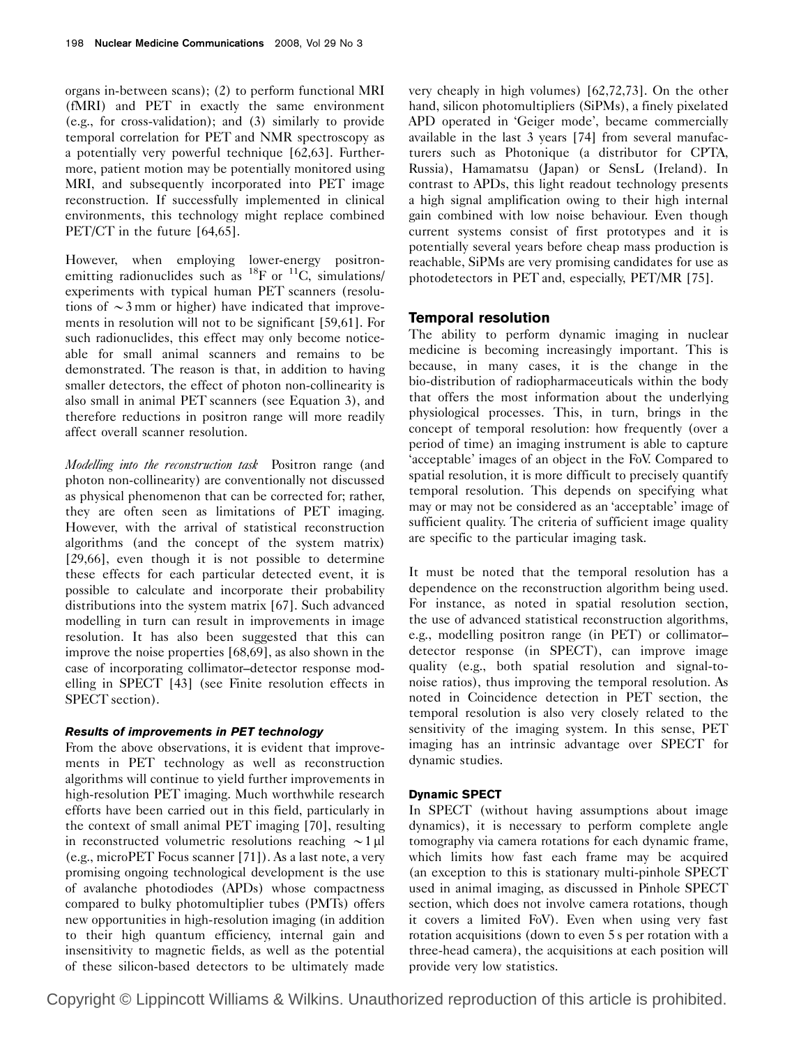organs in-between scans); (2) to perform functional MRI (fMRI) and PET in exactly the same environment (e.g., for cross-validation); and (3) similarly to provide temporal correlation for PET and NMR spectroscopy as a potentially very powerful technique [62,63]. Furthermore, patient motion may be potentially monitored using MRI, and subsequently incorporated into PET image reconstruction. If successfully implemented in clinical environments, this technology might replace combined PET/CT in the future [64,65].

However, when employing lower-energy positronemitting radionuclides such as  $^{18}$ F or  $^{11}$ C, simulations/ experiments with typical human PET scanners (resolutions of  $\sim$ 3 mm or higher) have indicated that improvements in resolution will not to be significant [59,61]. For such radionuclides, this effect may only become noticeable for small animal scanners and remains to be demonstrated. The reason is that, in addition to having smaller detectors, the effect of photon non-collinearity is also small in animal PET scanners (see Equation 3), and therefore reductions in positron range will more readily affect overall scanner resolution.

Modelling into the reconstruction task Positron range (and photon non-collinearity) are conventionally not discussed as physical phenomenon that can be corrected for; rather, they are often seen as limitations of PET imaging. However, with the arrival of statistical reconstruction algorithms (and the concept of the system matrix) [29,66], even though it is not possible to determine these effects for each particular detected event, it is possible to calculate and incorporate their probability distributions into the system matrix [67]. Such advanced modelling in turn can result in improvements in image resolution. It has also been suggested that this can improve the noise properties [68,69], as also shown in the case of incorporating collimator–detector response modelling in SPECT [43] (see Finite resolution effects in SPECT section).

# Results of improvements in PET technology

From the above observations, it is evident that improvements in PET technology as well as reconstruction algorithms will continue to yield further improvements in high-resolution PET imaging. Much worthwhile research efforts have been carried out in this field, particularly in the context of small animal PET imaging [70], resulting in reconstructed volumetric resolutions reaching  $\sim 1 \,\mu$ l (e.g., microPET Focus scanner [71]). As a last note, a very promising ongoing technological development is the use of avalanche photodiodes (APDs) whose compactness compared to bulky photomultiplier tubes (PMTs) offers new opportunities in high-resolution imaging (in addition to their high quantum efficiency, internal gain and insensitivity to magnetic fields, as well as the potential of these silicon-based detectors to be ultimately made very cheaply in high volumes) [62,72,73]. On the other hand, silicon photomultipliers (SiPMs), a finely pixelated APD operated in 'Geiger mode', became commercially available in the last 3 years [74] from several manufacturers such as Photonique (a distributor for CPTA, Russia), Hamamatsu (Japan) or SensL (Ireland). In contrast to APDs, this light readout technology presents a high signal amplification owing to their high internal gain combined with low noise behaviour. Even though current systems consist of first prototypes and it is potentially several years before cheap mass production is reachable, SiPMs are very promising candidates for use as photodetectors in PET and, especially, PET/MR [75].

# Temporal resolution

The ability to perform dynamic imaging in nuclear medicine is becoming increasingly important. This is because, in many cases, it is the change in the bio-distribution of radiopharmaceuticals within the body that offers the most information about the underlying physiological processes. This, in turn, brings in the concept of temporal resolution: how frequently (over a period of time) an imaging instrument is able to capture 'acceptable' images of an object in the FoV. Compared to spatial resolution, it is more difficult to precisely quantify temporal resolution. This depends on specifying what may or may not be considered as an 'acceptable' image of sufficient quality. The criteria of sufficient image quality are specific to the particular imaging task.

It must be noted that the temporal resolution has a dependence on the reconstruction algorithm being used. For instance, as noted in spatial resolution section, the use of advanced statistical reconstruction algorithms, e.g., modelling positron range (in PET) or collimator– detector response (in SPECT), can improve image quality (e.g., both spatial resolution and signal-tonoise ratios), thus improving the temporal resolution. As noted in Coincidence detection in PET section, the temporal resolution is also very closely related to the sensitivity of the imaging system. In this sense, PET imaging has an intrinsic advantage over SPECT for dynamic studies.

# Dynamic SPECT

In SPECT (without having assumptions about image dynamics), it is necessary to perform complete angle tomography via camera rotations for each dynamic frame, which limits how fast each frame may be acquired (an exception to this is stationary multi-pinhole SPECT used in animal imaging, as discussed in Pinhole SPECT section, which does not involve camera rotations, though it covers a limited FoV). Even when using very fast rotation acquisitions (down to even 5 s per rotation with a three-head camera), the acquisitions at each position will provide very low statistics.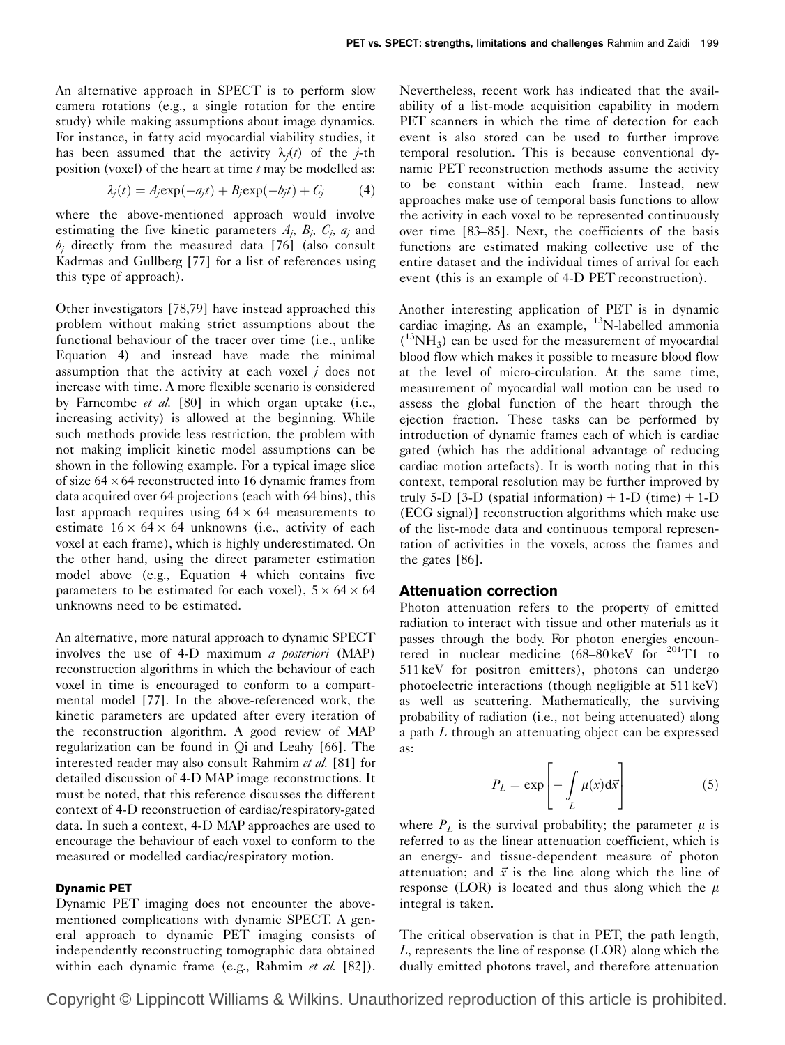An alternative approach in SPECT is to perform slow camera rotations (e.g., a single rotation for the entire study) while making assumptions about image dynamics. For instance, in fatty acid myocardial viability studies, it has been assumed that the activity  $\lambda_j(t)$  of the *j*-th position (voxel) of the heart at time  $t$  may be modelled as:

$$
\lambda_j(t) = A_j \exp(-a_j t) + B_j \exp(-b_j t) + C_j \tag{4}
$$

where the above-mentioned approach would involve estimating the five kinetic parameters  $A_j$ ,  $B_j$ ,  $C_j$ ,  $a_j$  and  $b_i$  directly from the measured data [76] (also consult Kadrmas and Gullberg [77] for a list of references using this type of approach).

Other investigators [78,79] have instead approached this problem without making strict assumptions about the functional behaviour of the tracer over time (i.e., unlike Equation 4) and instead have made the minimal assumption that the activity at each voxel  $j$  does not increase with time. A more flexible scenario is considered by Farncombe et al. [80] in which organ uptake (i.e., increasing activity) is allowed at the beginning. While such methods provide less restriction, the problem with not making implicit kinetic model assumptions can be shown in the following example. For a typical image slice of size  $64 \times 64$  reconstructed into 16 dynamic frames from data acquired over 64 projections (each with 64 bins), this last approach requires using  $64 \times 64$  measurements to estimate  $16 \times 64 \times 64$  unknowns (i.e., activity of each voxel at each frame), which is highly underestimated. On the other hand, using the direct parameter estimation model above (e.g., Equation 4 which contains five parameters to be estimated for each voxel),  $5 \times 64 \times 64$ unknowns need to be estimated.

An alternative, more natural approach to dynamic SPECT involves the use of 4-D maximum a posteriori (MAP) reconstruction algorithms in which the behaviour of each voxel in time is encouraged to conform to a compartmental model [77]. In the above-referenced work, the kinetic parameters are updated after every iteration of the reconstruction algorithm. A good review of MAP regularization can be found in Qi and Leahy [66]. The interested reader may also consult Rahmim et al. [81] for detailed discussion of 4-D MAP image reconstructions. It must be noted, that this reference discusses the different context of 4-D reconstruction of cardiac/respiratory-gated data. In such a context, 4-D MAP approaches are used to encourage the behaviour of each voxel to conform to the measured or modelled cardiac/respiratory motion.

#### Dynamic PET

Dynamic PET imaging does not encounter the abovementioned complications with dynamic SPECT. A general approach to dynamic PET imaging consists of independently reconstructing tomographic data obtained within each dynamic frame (e.g., Rahmim et al. [82]).

Nevertheless, recent work has indicated that the availability of a list-mode acquisition capability in modern PET scanners in which the time of detection for each event is also stored can be used to further improve temporal resolution. This is because conventional dynamic PET reconstruction methods assume the activity to be constant within each frame. Instead, new approaches make use of temporal basis functions to allow the activity in each voxel to be represented continuously over time [83–85]. Next, the coefficients of the basis functions are estimated making collective use of the entire dataset and the individual times of arrival for each event (this is an example of 4-D PET reconstruction).

Another interesting application of PET is in dynamic cardiac imaging. As an example,  $^{13}$ N-labelled ammonia ( 13NH3) can be used for the measurement of myocardial blood flow which makes it possible to measure blood flow at the level of micro-circulation. At the same time, measurement of myocardial wall motion can be used to assess the global function of the heart through the ejection fraction. These tasks can be performed by introduction of dynamic frames each of which is cardiac gated (which has the additional advantage of reducing cardiac motion artefacts). It is worth noting that in this context, temporal resolution may be further improved by truly 5-D  $[3-D$  (spatial information) + 1-D (time) + 1-D (ECG signal)] reconstruction algorithms which make use of the list-mode data and continuous temporal representation of activities in the voxels, across the frames and the gates [86].

# Attenuation correction

Photon attenuation refers to the property of emitted radiation to interact with tissue and other materials as it passes through the body. For photon energies encountered in nuclear medicine  $(68-80 \,\text{keV})$  for <sup>201</sup>T1 to 511 keV for positron emitters), photons can undergo photoelectric interactions (though negligible at 511 keV) as well as scattering. Mathematically, the surviving probability of radiation (i.e., not being attenuated) along a path L through an attenuating object can be expressed as:

$$
P_L = \exp\left[-\int\limits_L \mu(x) \mathrm{d}\vec{x}\right] \tag{5}
$$

where  $P_L$  is the survival probability; the parameter  $\mu$  is referred to as the linear attenuation coefficient, which is an energy- and tissue-dependent measure of photon attenuation; and  $\vec{x}$  is the line along which the line of response (LOR) is located and thus along which the  $\mu$ integral is taken.

The critical observation is that in PET, the path length, L, represents the line of response (LOR) along which the dually emitted photons travel, and therefore attenuation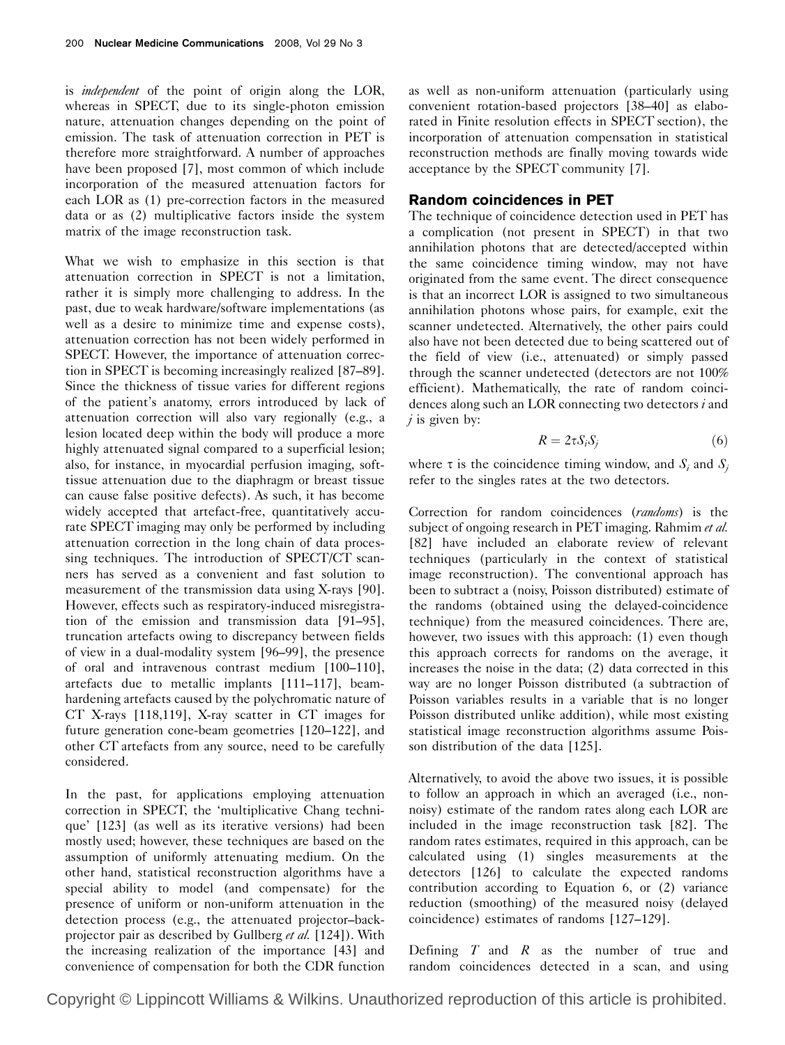is *independent* of the point of origin along the LOR, whereas in SPECT, due to its single-photon emission nature, attenuation changes depending on the point of emission. The task of attenuation correction in PET is therefore more straightforward. A number of approaches have been proposed [7], most common of which include incorporation of the measured attenuation factors for each LOR as (1) pre-correction factors in the measured data or as (2) multiplicative factors inside the system matrix of the image reconstruction task.

What we wish to emphasize in this section is that attenuation correction in SPECT is not a limitation, rather it is simply more challenging to address. In the past, due to weak hardware/software implementations (as well as a desire to minimize time and expense costs), attenuation correction has not been widely performed in SPECT. However, the importance of attenuation correction in SPECT is becoming increasingly realized [87–89]. Since the thickness of tissue varies for different regions of the patient's anatomy, errors introduced by lack of attenuation correction will also vary regionally (e.g., a lesion located deep within the body will produce a more highly attenuated signal compared to a superficial lesion; also, for instance, in myocardial perfusion imaging, softtissue attenuation due to the diaphragm or breast tissue can cause false positive defects). As such, it has become widely accepted that artefact-free, quantitatively accurate SPECT imaging may only be performed by including attenuation correction in the long chain of data processing techniques. The introduction of SPECT/CT scanners has served as a convenient and fast solution to measurement of the transmission data using X-rays [90]. However, effects such as respiratory-induced misregistration of the emission and transmission data [91–95], truncation artefacts owing to discrepancy between fields of view in a dual-modality system [96–99], the presence of oral and intravenous contrast medium [100–110], artefacts due to metallic implants [111–117], beamhardening artefacts caused by the polychromatic nature of CT X-rays [118,119], X-ray scatter in CT images for future generation cone-beam geometries [120–122], and other CT artefacts from any source, need to be carefully considered.

In the past, for applications employing attenuation correction in SPECT, the 'multiplicative Chang technique' [123] (as well as its iterative versions) had been mostly used; however, these techniques are based on the assumption of uniformly attenuating medium. On the other hand, statistical reconstruction algorithms have a special ability to model (and compensate) for the presence of uniform or non-uniform attenuation in the detection process (e.g., the attenuated projector–backprojector pair as described by Gullberg et al. [124]). With the increasing realization of the importance [43] and convenience of compensation for both the CDR function as well as non-uniform attenuation (particularly using convenient rotation-based projectors [38–40] as elaborated in Finite resolution effects in SPECT section), the incorporation of attenuation compensation in statistical reconstruction methods are finally moving towards wide acceptance by the SPECT community [7].

# Random coincidences in PET

The technique of coincidence detection used in PET has a complication (not present in SPECT) in that two annihilation photons that are detected/accepted within the same coincidence timing window, may not have originated from the same event. The direct consequence is that an incorrect LOR is assigned to two simultaneous annihilation photons whose pairs, for example, exit the scanner undetected. Alternatively, the other pairs could also have not been detected due to being scattered out of the field of view (i.e., attenuated) or simply passed through the scanner undetected (detectors are not 100% efficient). Mathematically, the rate of random coincidences along such an LOR connecting two detectors i and  $j$  is given by:

$$
R = 2\tau S_i S_j \tag{6}
$$

where  $\tau$  is the coincidence timing window, and  $S_i$  and  $S_j$ refer to the singles rates at the two detectors.

Correction for random coincidences (randoms) is the subject of ongoing research in PET imaging. Rahmim et al. [82] have included an elaborate review of relevant techniques (particularly in the context of statistical image reconstruction). The conventional approach has been to subtract a (noisy, Poisson distributed) estimate of the randoms (obtained using the delayed-coincidence technique) from the measured coincidences. There are, however, two issues with this approach: (1) even though this approach corrects for randoms on the average, it increases the noise in the data; (2) data corrected in this way are no longer Poisson distributed (a subtraction of Poisson variables results in a variable that is no longer Poisson distributed unlike addition), while most existing statistical image reconstruction algorithms assume Poisson distribution of the data [125].

Alternatively, to avoid the above two issues, it is possible to follow an approach in which an averaged (i.e., nonnoisy) estimate of the random rates along each LOR are included in the image reconstruction task [82]. The random rates estimates, required in this approach, can be calculated using (1) singles measurements at the detectors [126] to calculate the expected randoms contribution according to Equation 6, or (2) variance reduction (smoothing) of the measured noisy (delayed coincidence) estimates of randoms [127–129].

Defining  $T$  and  $R$  as the number of true and random coincidences detected in a scan, and using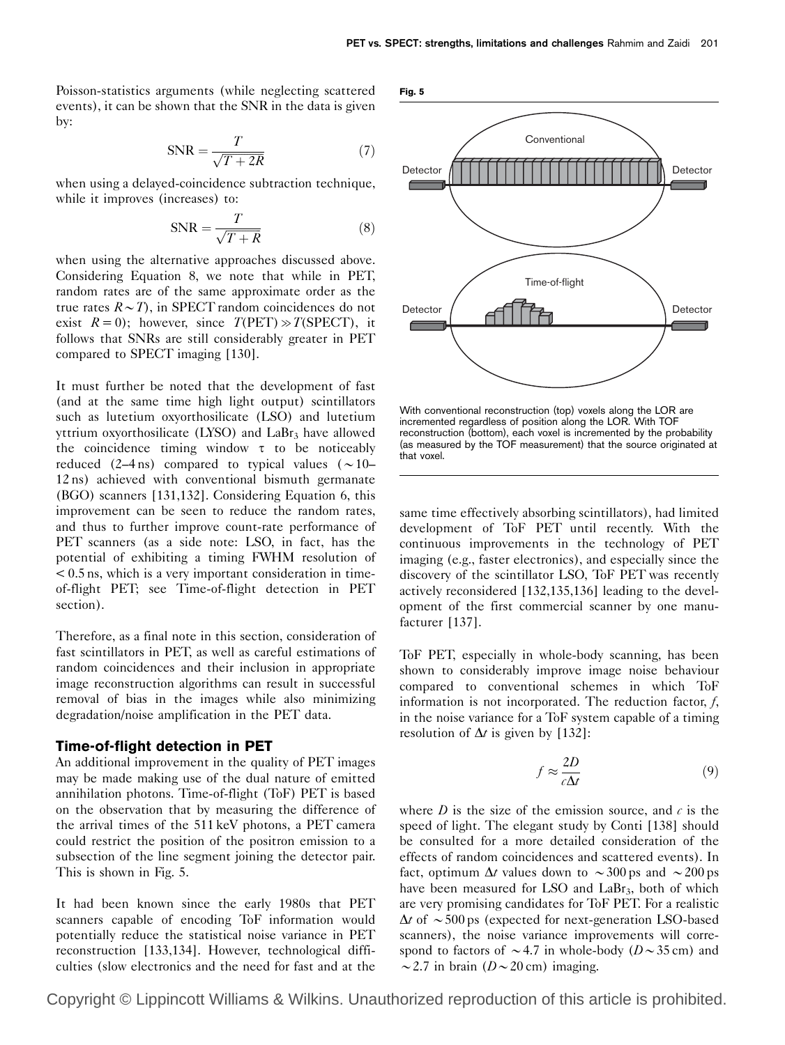Poisson-statistics arguments (while neglecting scattered events), it can be shown that the SNR in the data is given by:

$$
SNR = \frac{T}{\sqrt{T + 2R}}\tag{7}
$$

when using a delayed-coincidence subtraction technique, while it improves (increases) to:

$$
SNR = \frac{T}{\sqrt{T+R}}\tag{8}
$$

when using the alternative approaches discussed above. Considering Equation 8, we note that while in PET, random rates are of the same approximate order as the true rates  $R \sim T$ ), in SPECT random coincidences do not exist  $R = 0$ ; however, since  $T(PET) \gg T(SPECT)$ , it follows that SNRs are still considerably greater in PET compared to SPECT imaging [130].

It must further be noted that the development of fast (and at the same time high light output) scintillators such as lutetium oxyorthosilicate (LSO) and lutetium yttrium oxyorthosilicate (LYSO) and LaBr<sub>3</sub> have allowed the coincidence timing window  $\tau$  to be noticeably reduced (2–4 ns) compared to typical values ( $\sim$ 10– 12 ns) achieved with conventional bismuth germanate (BGO) scanners [131,132]. Considering Equation 6, this improvement can be seen to reduce the random rates, and thus to further improve count-rate performance of PET scanners (as a side note: LSO, in fact, has the potential of exhibiting a timing FWHM resolution of  $< 0.5$  ns, which is a very important consideration in timeof-flight PET; see Time-of-flight detection in PET section).

Therefore, as a final note in this section, consideration of fast scintillators in PET, as well as careful estimations of random coincidences and their inclusion in appropriate image reconstruction algorithms can result in successful removal of bias in the images while also minimizing degradation/noise amplification in the PET data.

## Time-of-flight detection in PET

An additional improvement in the quality of PET images may be made making use of the dual nature of emitted annihilation photons. Time-of-flight (ToF) PET is based on the observation that by measuring the difference of the arrival times of the 511 keV photons, a PET camera could restrict the position of the positron emission to a subsection of the line segment joining the detector pair. This is shown in Fig. 5.

It had been known since the early 1980s that PET scanners capable of encoding ToF information would potentially reduce the statistical noise variance in PET reconstruction [133,134]. However, technological difficulties (slow electronics and the need for fast and at the



With conventional reconstruction (top) voxels along the LOR are incremented regardless of position along the LOR. With TOF reconstruction (bottom), each voxel is incremented by the probability (as measured by the TOF measurement) that the source originated at that voxel.

same time effectively absorbing scintillators), had limited development of ToF PET until recently. With the continuous improvements in the technology of PET imaging (e.g., faster electronics), and especially since the discovery of the scintillator LSO, ToF PET was recently actively reconsidered [132,135,136] leading to the development of the first commercial scanner by one manufacturer [137].

ToF PET, especially in whole-body scanning, has been shown to considerably improve image noise behaviour compared to conventional schemes in which ToF information is not incorporated. The reduction factor, f, in the noise variance for a ToF system capable of a timing resolution of  $\Delta t$  is given by [132]:

$$
f \approx \frac{2D}{c\Delta t} \tag{9}
$$

where  $D$  is the size of the emission source, and  $c$  is the speed of light. The elegant study by Conti [138] should be consulted for a more detailed consideration of the effects of random coincidences and scattered events). In fact, optimum  $\Delta t$  values down to  $\sim$  300 ps and  $\sim$  200 ps have been measured for LSO and LaBr<sub>3</sub>, both of which are very promising candidates for ToF PET. For a realistic  $\Delta t$  of  $\sim$  500 ps (expected for next-generation LSO-based scanners), the noise variance improvements will correspond to factors of  $\sim$  4.7 in whole-body ( $D \sim$ 35 cm) and  $\sim$  2.7 in brain (D $\sim$  20 cm) imaging.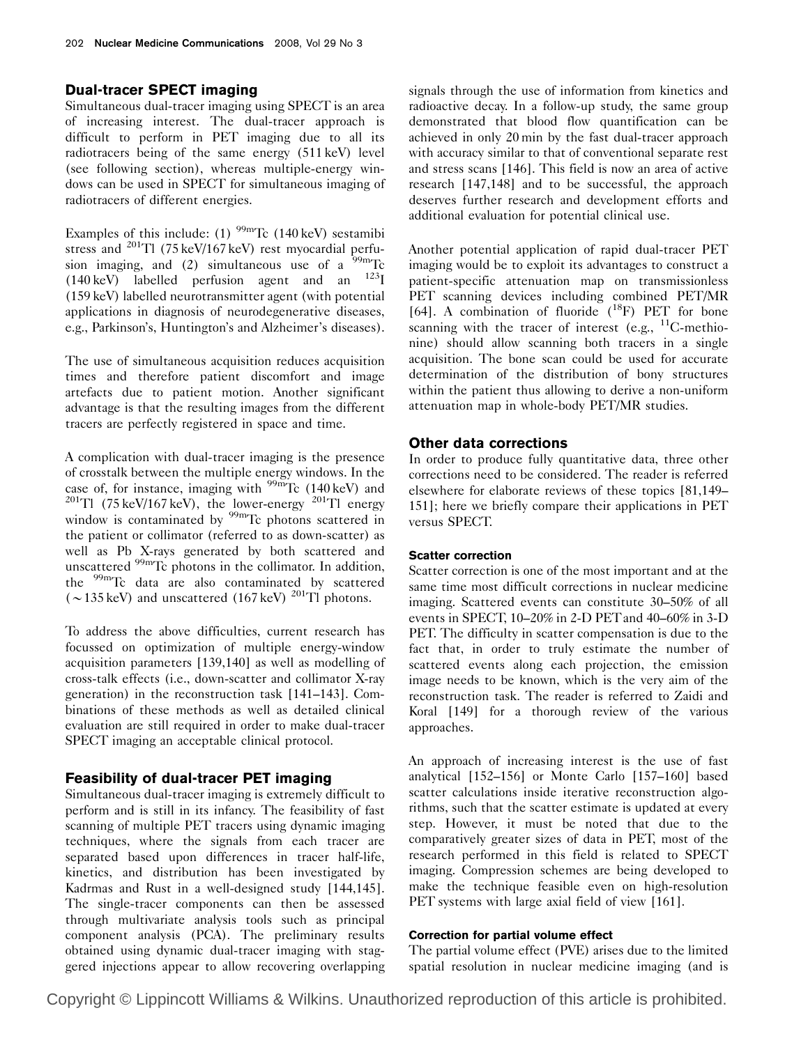# Dual-tracer SPECT imaging

Simultaneous dual-tracer imaging using SPECT is an area of increasing interest. The dual-tracer approach is difficult to perform in PET imaging due to all its radiotracers being of the same energy (511 keV) level (see following section), whereas multiple-energy windows can be used in SPECT for simultaneous imaging of radiotracers of different energies.

Examples of this include: (1)  $^{99m}$ Tc (140 keV) sestamibi stress and <sup>201</sup>Tl (75 keV/167 keV) rest myocardial perfusion imaging, and (2) simultaneous use of a  $\frac{99 \text{m}}{\text{C}}$  $(140 \,\text{keV})$  labelled perfusion agent and an  $^{123}$ I (159 keV) labelled neurotransmitter agent (with potential applications in diagnosis of neurodegenerative diseases, e.g., Parkinson's, Huntington's and Alzheimer's diseases).

The use of simultaneous acquisition reduces acquisition times and therefore patient discomfort and image artefacts due to patient motion. Another significant advantage is that the resulting images from the different tracers are perfectly registered in space and time.

A complication with dual-tracer imaging is the presence of crosstalk between the multiple energy windows. In the case of, for instance, imaging with  $^{99m}$ Tc (140 keV) and  $^{201}$ Tl (75 keV/167 keV), the lower-energy  $^{201}$ Tl energy window is contaminated by <sup>99m</sup>Tc photons scattered in the patient or collimator (referred to as down-scatter) as well as Pb X-rays generated by both scattered and unscattered <sup>99m</sup>Tc photons in the collimator. In addition, the 99mTc data are also contaminated by scattered ( $\sim$ 135 keV) and unscattered (167 keV) <sup>201</sup>Tl photons.

To address the above difficulties, current research has focussed on optimization of multiple energy-window acquisition parameters [139,140] as well as modelling of cross-talk effects (i.e., down-scatter and collimator X-ray generation) in the reconstruction task [141–143]. Combinations of these methods as well as detailed clinical evaluation are still required in order to make dual-tracer SPECT imaging an acceptable clinical protocol.

# Feasibility of dual-tracer PET imaging

Simultaneous dual-tracer imaging is extremely difficult to perform and is still in its infancy. The feasibility of fast scanning of multiple PET tracers using dynamic imaging techniques, where the signals from each tracer are separated based upon differences in tracer half-life, kinetics, and distribution has been investigated by Kadrmas and Rust in a well-designed study [144,145]. The single-tracer components can then be assessed through multivariate analysis tools such as principal component analysis (PCA). The preliminary results obtained using dynamic dual-tracer imaging with staggered injections appear to allow recovering overlapping signals through the use of information from kinetics and radioactive decay. In a follow-up study, the same group demonstrated that blood flow quantification can be achieved in only 20 min by the fast dual-tracer approach with accuracy similar to that of conventional separate rest and stress scans [146]. This field is now an area of active research [147,148] and to be successful, the approach deserves further research and development efforts and additional evaluation for potential clinical use.

Another potential application of rapid dual-tracer PET imaging would be to exploit its advantages to construct a patient-specific attenuation map on transmissionless PET scanning devices including combined PET/MR [64]. A combination of fluoride  $(^{18}F)$  PET for bone scanning with the tracer of interest  $(e.g., <sup>11</sup>C-methio$ nine) should allow scanning both tracers in a single acquisition. The bone scan could be used for accurate determination of the distribution of bony structures within the patient thus allowing to derive a non-uniform attenuation map in whole-body PET/MR studies.

# Other data corrections

In order to produce fully quantitative data, three other corrections need to be considered. The reader is referred elsewhere for elaborate reviews of these topics [81,149– 151]; here we briefly compare their applications in PET versus SPECT.

# Scatter correction

Scatter correction is one of the most important and at the same time most difficult corrections in nuclear medicine imaging. Scattered events can constitute 30–50% of all events in SPECT, 10–20% in 2-D PET and 40–60% in 3-D PET. The difficulty in scatter compensation is due to the fact that, in order to truly estimate the number of scattered events along each projection, the emission image needs to be known, which is the very aim of the reconstruction task. The reader is referred to Zaidi and Koral [149] for a thorough review of the various approaches.

An approach of increasing interest is the use of fast analytical [152–156] or Monte Carlo [157–160] based scatter calculations inside iterative reconstruction algorithms, such that the scatter estimate is updated at every step. However, it must be noted that due to the comparatively greater sizes of data in PET, most of the research performed in this field is related to SPECT imaging. Compression schemes are being developed to make the technique feasible even on high-resolution PET systems with large axial field of view [161].

#### Correction for partial volume effect

The partial volume effect (PVE) arises due to the limited spatial resolution in nuclear medicine imaging (and is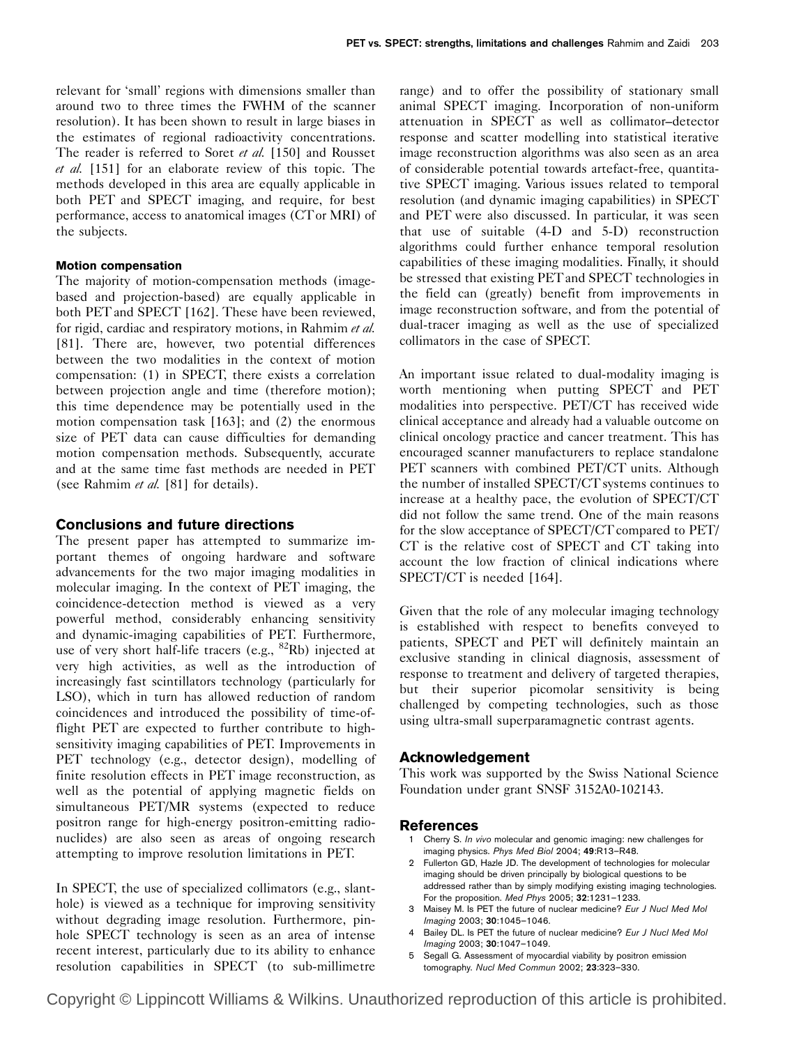relevant for 'small' regions with dimensions smaller than around two to three times the FWHM of the scanner resolution). It has been shown to result in large biases in the estimates of regional radioactivity concentrations. The reader is referred to Soret et al. [150] and Rousset et al. [151] for an elaborate review of this topic. The methods developed in this area are equally applicable in both PET and SPECT imaging, and require, for best performance, access to anatomical images (CTor MRI) of the subjects.

#### Motion compensation

The majority of motion-compensation methods (imagebased and projection-based) are equally applicable in both PET and SPECT [162]. These have been reviewed, for rigid, cardiac and respiratory motions, in Rahmim et al. [81]. There are, however, two potential differences between the two modalities in the context of motion compensation: (1) in SPECT, there exists a correlation between projection angle and time (therefore motion); this time dependence may be potentially used in the motion compensation task [163]; and (2) the enormous size of PET data can cause difficulties for demanding motion compensation methods. Subsequently, accurate and at the same time fast methods are needed in PET (see Rahmim et al. [81] for details).

#### Conclusions and future directions

The present paper has attempted to summarize important themes of ongoing hardware and software advancements for the two major imaging modalities in molecular imaging. In the context of PET imaging, the coincidence-detection method is viewed as a very powerful method, considerably enhancing sensitivity and dynamic-imaging capabilities of PET. Furthermore, use of very short half-life tracers (e.g., 82Rb) injected at very high activities, as well as the introduction of increasingly fast scintillators technology (particularly for LSO), which in turn has allowed reduction of random coincidences and introduced the possibility of time-offlight PET are expected to further contribute to highsensitivity imaging capabilities of PET. Improvements in PET technology (e.g., detector design), modelling of finite resolution effects in PET image reconstruction, as well as the potential of applying magnetic fields on simultaneous PET/MR systems (expected to reduce positron range for high-energy positron-emitting radionuclides) are also seen as areas of ongoing research attempting to improve resolution limitations in PET.

In SPECT, the use of specialized collimators (e.g., slanthole) is viewed as a technique for improving sensitivity without degrading image resolution. Furthermore, pinhole SPECT technology is seen as an area of intense recent interest, particularly due to its ability to enhance resolution capabilities in SPECT (to sub-millimetre range) and to offer the possibility of stationary small animal SPECT imaging. Incorporation of non-uniform attenuation in SPECT as well as collimator–detector response and scatter modelling into statistical iterative image reconstruction algorithms was also seen as an area of considerable potential towards artefact-free, quantitative SPECT imaging. Various issues related to temporal resolution (and dynamic imaging capabilities) in SPECT and PET were also discussed. In particular, it was seen that use of suitable (4-D and 5-D) reconstruction algorithms could further enhance temporal resolution capabilities of these imaging modalities. Finally, it should be stressed that existing PET and SPECT technologies in the field can (greatly) benefit from improvements in image reconstruction software, and from the potential of dual-tracer imaging as well as the use of specialized collimators in the case of SPECT.

An important issue related to dual-modality imaging is worth mentioning when putting SPECT and PET modalities into perspective. PET/CT has received wide clinical acceptance and already had a valuable outcome on clinical oncology practice and cancer treatment. This has encouraged scanner manufacturers to replace standalone PET scanners with combined PET/CT units. Although the number of installed SPECT/CT systems continues to increase at a healthy pace, the evolution of SPECT/CT did not follow the same trend. One of the main reasons for the slow acceptance of SPECT/CT compared to PET/ CT is the relative cost of SPECT and CT taking into account the low fraction of clinical indications where SPECT/CT is needed [164].

Given that the role of any molecular imaging technology is established with respect to benefits conveyed to patients, SPECT and PET will definitely maintain an exclusive standing in clinical diagnosis, assessment of response to treatment and delivery of targeted therapies, but their superior picomolar sensitivity is being challenged by competing technologies, such as those using ultra-small superparamagnetic contrast agents.

#### Acknowledgement

This work was supported by the Swiss National Science Foundation under grant SNSF 3152A0-102143.

#### References

- 1 Cherry S. In vivo molecular and genomic imaging: new challenges for imaging physics. Phys Med Biol 2004; 49:R13–R48.
- 2 Fullerton GD, Hazle JD. The development of technologies for molecular imaging should be driven principally by biological questions to be addressed rather than by simply modifying existing imaging technologies. For the proposition. Med Phys 2005; 32:1231–1233.
- 3 Maisey M. Is PET the future of nuclear medicine? Eur J Nucl Med Mol Imaging 2003; 30:1045–1046.
- 4 Bailey DL. Is PET the future of nuclear medicine? Eur J Nucl Med Mol Imaging 2003; 30:1047–1049.
- 5 Segall G. Assessment of myocardial viability by positron emission tomography. Nucl Med Commun 2002; 23:323–330.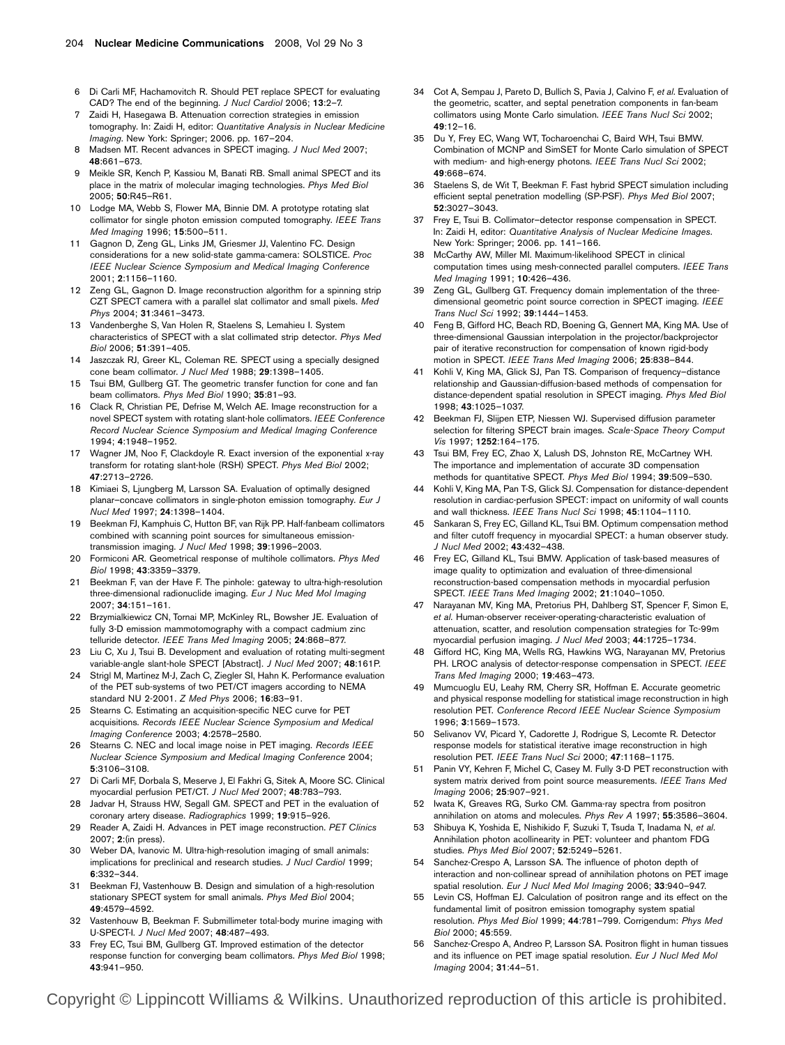- 6 Di Carli MF, Hachamovitch R. Should PET replace SPECT for evaluating CAD? The end of the beginning. J Nucl Cardiol 2006; 13:2–7.
- 7 Zaidi H, Hasegawa B. Attenuation correction strategies in emission tomography. In: Zaidi H, editor: Quantitative Analysis in Nuclear Medicine Imaging. New York: Springer; 2006. pp. 167–204.
- Madsen MT. Recent advances in SPECT imaging. J Nucl Med 2007; 48:661–673.
- 9 Meikle SR, Kench P, Kassiou M, Banati RB. Small animal SPECT and its place in the matrix of molecular imaging technologies. Phys Med Biol 2005; 50:R45–R61.
- 10 Lodge MA, Webb S, Flower MA, Binnie DM. A prototype rotating slat collimator for single photon emission computed tomography. IEEE Trans Med Imaging 1996; 15:500–511.
- Gagnon D, Zeng GL, Links JM, Griesmer JJ, Valentino FC. Design considerations for a new solid-state gamma-camera: SOLSTICE. Proc IEEE Nuclear Science Symposium and Medical Imaging Conference 2001; 2:1156–1160.
- 12 Zeng GL, Gagnon D. Image reconstruction algorithm for a spinning strip CZT SPECT camera with a parallel slat collimator and small pixels. Med Phys 2004; 31:3461–3473.
- 13 Vandenberghe S, Van Holen R, Staelens S, Lemahieu I. System characteristics of SPECT with a slat collimated strip detector. Phys Med Biol 2006; 51:391–405.
- 14 Jaszczak RJ, Greer KL, Coleman RE. SPECT using a specially designed cone beam collimator. J Nucl Med 1988; 29:1398–1405.
- Tsui BM, Gullberg GT. The geometric transfer function for cone and fan beam collimators. Phys Med Biol 1990; 35:81–93.
- 16 Clack R, Christian PE, Defrise M, Welch AE. Image reconstruction for a novel SPECT system with rotating slant-hole collimators. IEEE Conference Record Nuclear Science Symposium and Medical Imaging Conference 1994; 4:1948–1952.
- 17 Wagner JM, Noo F, Clackdoyle R. Exact inversion of the exponential x-ray transform for rotating slant-hole (RSH) SPECT. Phys Med Biol 2002; 47:2713–2726.
- 18 Kimiaei S, Ljungberg M, Larsson SA. Evaluation of optimally designed planar–concave collimators in single-photon emission tomography. Eur J Nucl Med 1997; 24:1398–1404.
- 19 Beekman FJ, Kamphuis C, Hutton BF, van Rijk PP. Half-fanbeam collimators combined with scanning point sources for simultaneous emissiontransmission imaging. J Nucl Med 1998; 39:1996–2003.
- 20 Formiconi AR. Geometrical response of multihole collimators. Phys Med Biol 1998; 43:3359–3379.
- 21 Beekman F, van der Have F. The pinhole: gateway to ultra-high-resolution three-dimensional radionuclide imaging. Eur J Nuc Med Mol Imaging 2007; 34:151–161.
- 22 Brzymialkiewicz CN, Tornai MP, McKinley RL, Bowsher JE. Evaluation of fully 3-D emission mammotomography with a compact cadmium zinc telluride detector. IEEE Trans Med Imaging 2005; 24:868–877.
- 23 Liu C, Xu J, Tsui B. Development and evaluation of rotating multi-segment variable-angle slant-hole SPECT [Abstract]. J Nucl Med 2007; 48:161P.
- Strigl M, Martínez M-J, Zach C, Ziegler SI, Hahn K. Performance evaluation of the PET sub-systems of two PET/CT imagers according to NEMA standard NU 2-2001. Z Med Phys 2006; 16:83–91.
- 25 Stearns C. Estimating an acquisition-specific NEC curve for PET acquisitions. Records IEEE Nuclear Science Symposium and Medical Imaging Conference 2003; 4:2578–2580.
- 26 Stearns C. NEC and local image noise in PET imaging. Records IEEE Nuclear Science Symposium and Medical Imaging Conference 2004; 5:3106–3108.
- 27 Di Carli MF, Dorbala S, Meserve J, El Fakhri G, Sitek A, Moore SC. Clinical myocardial perfusion PET/CT. J Nucl Med 2007; 48:783–793.
- 28 Jadvar H, Strauss HW, Segall GM. SPECT and PET in the evaluation of coronary artery disease. Radiographics 1999; 19:915–926.
- 29 Reader A, Zaidi H. Advances in PET image reconstruction. PET Clinics 2007; 2:(in press).
- 30 Weber DA, Ivanovic M. Ultra-high-resolution imaging of small animals: implications for preclinical and research studies. J Nucl Cardiol 1999; 6:332–344.
- 31 Beekman FJ, Vastenhouw B. Design and simulation of a high-resolution stationary SPECT system for small animals. Phys Med Biol 2004; 49:4579–4592.
- 32 Vastenhouw B, Beekman F. Submillimeter total-body murine imaging with U-SPECT-I. J Nucl Med 2007; 48:487–493.
- 33 Frey EC, Tsui BM, Gullberg GT. Improved estimation of the detector response function for converging beam collimators. Phys Med Biol 1998; 43:941–950.
- 34 Cot A, Sempau J, Pareto D, Bullich S, Pavia J, Calvino F, et al. Evaluation of the geometric, scatter, and septal penetration components in fan-beam collimators using Monte Carlo simulation. IEEE Trans Nucl Sci 2002; 49:12–16.
- 35 Du Y, Frey EC, Wang WT, Tocharoenchai C, Baird WH, Tsui BMW. Combination of MCNP and SimSET for Monte Carlo simulation of SPECT with medium- and high-energy photons. IEEE Trans Nucl Sci 2002; 49:668–674.
- 36 Staelens S, de Wit T, Beekman F. Fast hybrid SPECT simulation including efficient septal penetration modelling (SP-PSF). Phys Med Biol 2007; 52:3027–3043.
- 37 Frey E, Tsui B. Collimator–detector response compensation in SPECT. In: Zaidi H, editor: Quantitative Analysis of Nuclear Medicine Images. New York: Springer; 2006. pp. 141–166.
- 38 McCarthy AW, Miller MI. Maximum-likelihood SPECT in clinical computation times using mesh-connected parallel computers. IEEE Trans Med Imaging 1991; 10:426–436.
- 39 Zeng GL, Gullberg GT. Frequency domain implementation of the threedimensional geometric point source correction in SPECT imaging. IEEE Trans Nucl Sci 1992; 39:1444–1453.
- 40 Feng B, Gifford HC, Beach RD, Boening G, Gennert MA, King MA. Use of three-dimensional Gaussian interpolation in the projector/backprojector pair of iterative reconstruction for compensation of known rigid-body motion in SPECT. IEEE Trans Med Imaging 2006; 25:838–844.
- Kohli V, King MA, Glick SJ, Pan TS. Comparison of frequency-distance relationship and Gaussian-diffusion-based methods of compensation for distance-dependent spatial resolution in SPECT imaging. Phys Med Biol 1998; 43:1025–1037.
- 42 Beekman FJ, Slijpen ETP, Niessen WJ. Supervised diffusion parameter selection for filtering SPECT brain images. Scale-Space Theory Comput Vis 1997; 1252:164–175.
- 43 Tsui BM, Frey EC, Zhao X, Lalush DS, Johnston RE, McCartney WH. The importance and implementation of accurate 3D compensation methods for quantitative SPECT. Phys Med Biol 1994; 39:509–530.
- 44 Kohli V, King MA, Pan T-S, Glick SJ. Compensation for distance-dependent resolution in cardiac-perfusion SPECT: impact on uniformity of wall counts and wall thickness. IEEE Trans Nucl Sci 1998; 45:1104-1110.
- 45 Sankaran S, Frey EC, Gilland KL, Tsui BM. Optimum compensation method and filter cutoff frequency in myocardial SPECT: a human observer study. J Nucl Med 2002; 43:432–438.
- 46 Frey EC, Gilland KL, Tsui BMW. Application of task-based measures of image quality to optimization and evaluation of three-dimensional reconstruction-based compensation methods in myocardial perfusion SPECT. IEEE Trans Med Imaging 2002; 21:1040–1050.
- Narayanan MV, King MA, Pretorius PH, Dahlberg ST, Spencer F, Simon E, et al. Human-observer receiver-operating-characteristic evaluation of attenuation, scatter, and resolution compensation strategies for Tc-99m myocardial perfusion imaging. J Nucl Med 2003; 44:1725–1734.
- 48 Gifford HC, King MA, Wells RG, Hawkins WG, Narayanan MV, Pretorius PH. LROC analysis of detector-response compensation in SPECT. IEEE Trans Med Imaging 2000; 19:463–473.
- 49 Mumcuoglu EU, Leahy RM, Cherry SR, Hoffman E. Accurate geometric and physical response modelling for statistical image reconstruction in high resolution PET. Conference Record IEEE Nuclear Science Symposium 1996; 3:1569–1573.
- 50 Selivanov VV, Picard Y, Cadorette J, Rodrigue S, Lecomte R. Detector response models for statistical iterative image reconstruction in high resolution PET. IEEE Trans Nucl Sci 2000; 47:1168–1175.
- 51 Panin VY, Kehren F, Michel C, Casey M. Fully 3-D PET reconstruction with system matrix derived from point source measurements. IEEE Trans Med Imaging 2006; 25:907–921.
- 52 Iwata K, Greaves RG, Surko CM. Gamma-ray spectra from positron annihilation on atoms and molecules. Phys Rev A 1997; 55:3586–3604.
- 53 Shibuya K, Yoshida E, Nishikido F, Suzuki T, Tsuda T, Inadama N, et al. Annihilation photon acollinearity in PET: volunteer and phantom FDG studies. Phys Med Biol 2007; 52:5249–5261.
- 54 Sanchez-Crespo A, Larsson SA. The influence of photon depth of interaction and non-collinear spread of annihilation photons on PET image spatial resolution. Eur J Nucl Med Mol Imaging 2006; 33:940–947.
- 55 Levin CS, Hoffman EJ. Calculation of positron range and its effect on the fundamental limit of positron emission tomography system spatial resolution. Phys Med Biol 1999; 44:781–799. Corrigendum: Phys Med Biol 2000; 45:559.
- 56 Sanchez-Crespo A, Andreo P, Larsson SA. Positron flight in human tissues and its influence on PET image spatial resolution. Eur J Nucl Med Mol Imaging 2004; 31:44–51.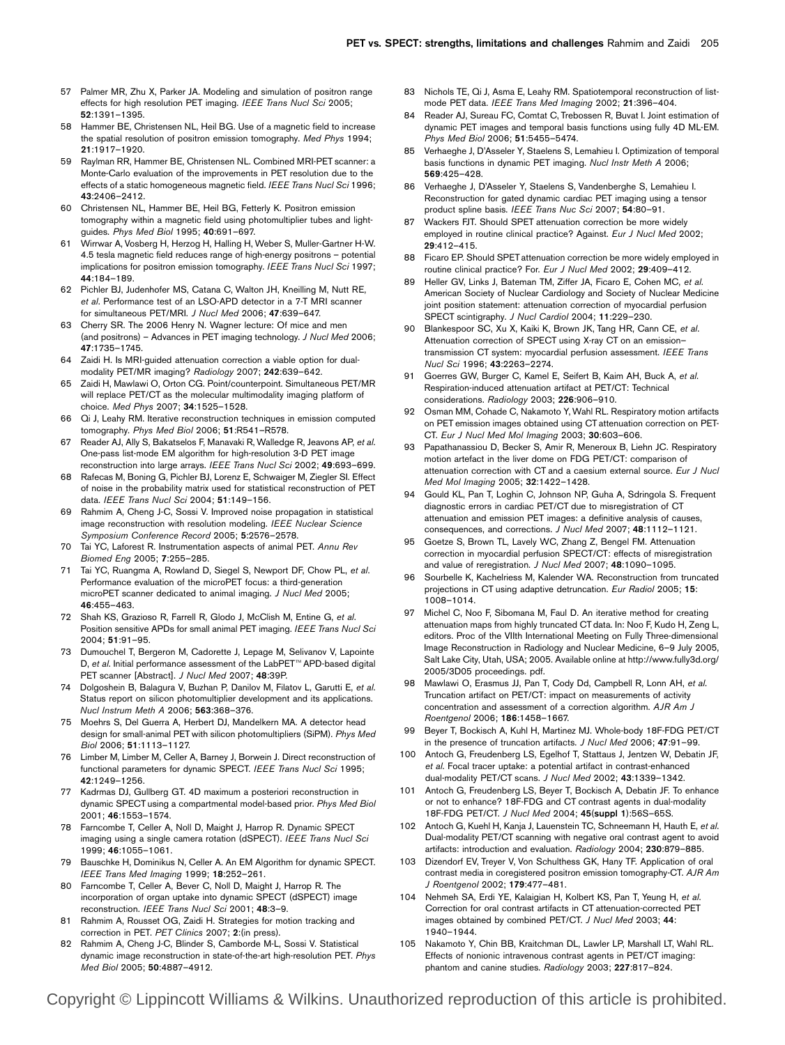- 57 Palmer MR, Zhu X, Parker JA. Modeling and simulation of positron range effects for high resolution PET imaging. IEEE Trans Nucl Sci 2005; 52:1391–1395.
- 58 Hammer BE, Christensen NL, Heil BG. Use of a magnetic field to increase the spatial resolution of positron emission tomography. Med Phys 1994; 21:1917–1920.
- 59 Raylman RR, Hammer BE, Christensen NL. Combined MRI-PET scanner: a Monte-Carlo evaluation of the improvements in PET resolution due to the effects of a static homogeneous magnetic field. IEEE Trans Nucl Sci 1996; 43:2406–2412.
- 60 Christensen NL, Hammer BE, Heil BG, Fetterly K. Positron emission tomography within a magnetic field using photomultiplier tubes and lightguides. Phys Med Biol 1995; 40:691–697.
- 61 Wirrwar A, Vosberg H, Herzog H, Halling H, Weber S, Muller-Gartner H-W. 4.5 tesla magnetic field reduces range of high-energy positrons – potential implications for positron emission tomography. IEEE Trans Nucl Sci 1997; 44:184–189.
- 62 Pichler BJ, Judenhofer MS, Catana C, Walton JH, Kneilling M, Nutt RE, et al. Performance test of an LSO-APD detector in a 7-T MRI scanner for simultaneous PET/MRI. J Nucl Med 2006; 47:639–647.
- 63 Cherry SR. The 2006 Henry N. Wagner lecture: Of mice and men (and positrons) – Advances in PET imaging technology. J Nucl Med 2006; 47:1735–1745.
- 64 Zaidi H. Is MRI-guided attenuation correction a viable option for dualmodality PET/MR imaging? Radiology 2007; 242:639–642.
- Zaidi H, Mawlawi O, Orton CG. Point/counterpoint. Simultaneous PET/MR will replace PET/CT as the molecular multimodality imaging platform of choice. Med Phys 2007; 34:1525–1528.
- 66 Qi J, Leahy RM. Iterative reconstruction techniques in emission computed tomography. Phys Med Biol 2006; 51:R541–R578.
- Reader AJ, Ally S, Bakatselos F, Manavaki R, Walledge R, Jeavons AP, et al. One-pass list-mode EM algorithm for high-resolution 3-D PET image reconstruction into large arrays. IEEE Trans Nucl Sci 2002; 49:693–699.
- 68 Rafecas M, Boning G, Pichler BJ, Lorenz E, Schwaiger M, Ziegler SI. Effect of noise in the probability matrix used for statistical reconstruction of PET data. IEEE Trans Nucl Sci 2004; 51:149-156.
- 69 Rahmim A, Cheng J-C, Sossi V. Improved noise propagation in statistical image reconstruction with resolution modeling. IEEE Nuclear Science Symposium Conference Record 2005; 5:2576–2578.
- 70 Tai YC, Laforest R. Instrumentation aspects of animal PET. Annu Rev Biomed Eng 2005; 7:255–285.
- 71 Tai YC, Ruangma A, Rowland D, Siegel S, Newport DF, Chow PL, et al. Performance evaluation of the microPET focus: a third-generation microPET scanner dedicated to animal imaging. J Nucl Med 2005; 46:455–463.
- 72 Shah KS, Grazioso R, Farrell R, Glodo J, McClish M, Entine G, et al. Position sensitive APDs for small animal PET imaging. IEEE Trans Nucl Sci 2004; 51:91–95.
- 73 Dumouchel T, Bergeron M, Cadorette J, Lepage M, Selivanov V, Lapointe D, et al. Initial performance assessment of the LabPET<sup>™</sup> APD-based digital PET scanner [Abstract]. J Nucl Med 2007; 48:39P.
- 74 Dolgoshein B, Balagura V, Buzhan P, Danilov M, Filatov L, Garutti E, et al. Status report on silicon photomultiplier development and its applications. Nucl Instrum Meth A 2006; 563:368–376.
- 75 Moehrs S, Del Guerra A, Herbert DJ, Mandelkern MA. A detector head design for small-animal PET with silicon photomultipliers (SiPM). Phys Med Biol 2006; 51:1113–1127.
- 76 Limber M, Limber M, Celler A, Barney J, Borwein J. Direct reconstruction of functional parameters for dynamic SPECT. IEEE Trans Nucl Sci 1995; 42:1249–1256.
- 77 Kadrmas DJ, Gullberg GT. 4D maximum a posteriori reconstruction in dynamic SPECT using a compartmental model-based prior. Phys Med Biol 2001; 46:1553–1574.
- 78 Farncombe T, Celler A, Noll D, Maight J, Harrop R. Dynamic SPECT imaging using a single camera rotation (dSPECT). IEEE Trans Nucl Sci 1999; 46:1055–1061.
- 79 Bauschke H, Dominikus N, Celler A. An EM Algorithm for dynamic SPECT. IEEE Trans Med Imaging 1999; 18:252–261.
- 80 Farncombe T, Celler A, Bever C, Noll D, Maight J, Harrop R. The incorporation of organ uptake into dynamic SPECT (dSPECT) image reconstruction. IEEE Trans Nucl Sci 2001; 48:3–9.
- 81 Rahmim A, Rousset OG, Zaidi H. Strategies for motion tracking and correction in PET. PET Clinics 2007; 2:(in press).
- 82 Rahmim A, Cheng J-C, Blinder S, Camborde M-L, Sossi V. Statistical dynamic image reconstruction in state-of-the-art high-resolution PET. Phys Med Biol 2005; 50:4887–4912.
- 83 Nichols TE, Qi J, Asma E, Leahy RM. Spatiotemporal reconstruction of listmode PET data. IEEE Trans Med Imaging 2002; 21:396–404.
- 84 Reader AJ, Sureau FC, Comtat C, Trebossen R, Buvat I. Joint estimation of dynamic PET images and temporal basis functions using fully 4D ML-EM. Phys Med Biol 2006; 51:5455–5474.
- 85 Verhaeghe J, D'Asseler Y, Staelens S, Lemahieu I. Optimization of temporal basis functions in dynamic PET imaging. Nucl Instr Meth A 2006; 569:425–428.
- 86 Verhaeghe J, D'Asseler Y, Staelens S, Vandenberghe S, Lemahieu I. Reconstruction for gated dynamic cardiac PET imaging using a tensor product spline basis. IEEE Trans Nuc Sci 2007; 54:80–91.
- 87 Wackers FJT. Should SPET attenuation correction be more widely employed in routine clinical practice? Against. Eur J Nucl Med 2002; 29:412–415.
- 88 Ficaro EP. Should SPET attenuation correction be more widely employed in routine clinical practice? For. Eur J Nucl Med 2002; 29:409–412.
- 89 Heller GV, Links J, Bateman TM, Ziffer JA, Ficaro E, Cohen MC, et al. American Society of Nuclear Cardiology and Society of Nuclear Medicine joint position statement: attenuation correction of myocardial perfusion SPECT scintigraphy. J Nucl Cardiol 2004; 11:229–230.
- Blankespoor SC, Xu X, Kaiki K, Brown JK, Tang HR, Cann CE, et al. Attenuation correction of SPECT using X-ray CT on an emission– transmission CT system: myocardial perfusion assessment. IEEE Trans Nucl Sci 1996; 43:2263–2274.
- 91 Goerres GW, Burger C, Kamel E, Seifert B, Kaim AH, Buck A, et al. Respiration-induced attenuation artifact at PET/CT: Technical considerations. Radiology 2003; 226:906–910.
- 92 Osman MM, Cohade C, Nakamoto Y, Wahl RL. Respiratory motion artifacts on PET emission images obtained using CT attenuation correction on PET-CT. Eur J Nucl Med Mol Imaging 2003; 30:603–606.
- 93 Papathanassiou D, Becker S, Amir R, Meneroux B, Liehn JC. Respiratory motion artefact in the liver dome on FDG PET/CT: comparison of attenuation correction with CT and a caesium external source. Eur J Nucl Med Mol Imaging 2005; 32:1422–1428.
- Gould KL, Pan T, Loghin C, Johnson NP, Guha A, Sdringola S. Frequent diagnostic errors in cardiac PET/CT due to misregistration of CT attenuation and emission PET images: a definitive analysis of causes, consequences, and corrections. J Nucl Med 2007; 48:1112–1121.
- 95 Goetze S, Brown TL, Lavely WC, Zhang Z, Bengel FM. Attenuation correction in myocardial perfusion SPECT/CT: effects of misregistration and value of reregistration. J Nucl Med 2007: 48:1090-1095.
- 96 Sourbelle K, Kachelriess M, Kalender WA. Reconstruction from truncated projections in CT using adaptive detruncation. Eur Radiol 2005; 15: 1008–1014.
- 97 Michel C, Noo F, Sibomana M, Faul D. An iterative method for creating attenuation maps from highly truncated CT data. In: Noo F, Kudo H, Zeng L, editors. Proc of the VIIth International Meeting on Fully Three-dimensional Image Reconstruction in Radiology and Nuclear Medicine, 6–9 July 2005, Salt Lake City, Utah, USA; 2005. Available online at http://www.fully3d.org/ 2005/3D05 proceedings. pdf.
- 98 Mawlawi O, Erasmus JJ, Pan T, Cody Dd, Campbell R, Lonn AH, et al. Truncation artifact on PET/CT: impact on measurements of activity concentration and assessment of a correction algorithm. AJR Am J Roentgenol 2006; 186:1458–1667.
- 99 Beyer T, Bockisch A, Kuhl H, Martinez MJ. Whole-body 18F-FDG PET/CT in the presence of truncation artifacts. J Nucl Med 2006; 47:91–99.
- 100 Antoch G, Freudenberg LS, Egelhof T, Stattaus J, Jentzen W, Debatin JF, et al. Focal tracer uptake: a potential artifact in contrast-enhanced dual-modality PET/CT scans. J Nucl Med 2002; 43:1339–1342.
- Antoch G, Freudenberg LS, Beyer T, Bockisch A, Debatin JF. To enhance or not to enhance? 18F-FDG and CT contrast agents in dual-modality 18F-FDG PET/CT. J Nucl Med 2004; 45(suppl 1):56S–65S.
- 102 Antoch G, Kuehl H, Kanja J, Lauenstein TC, Schneemann H, Hauth E, et al. Dual-modality PET/CT scanning with negative oral contrast agent to avoid artifacts: introduction and evaluation. Radiology 2004; 230:879-885.
- 103 Dizendorf EV, Treyer V, Von Schulthess GK, Hany TF. Application of oral contrast media in coregistered positron emission tomography-CT. AJR Am J Roentgenol 2002; 179:477–481.
- 104 Nehmeh SA, Erdi YE, Kalaigian H, Kolbert KS, Pan T, Yeung H, et al. Correction for oral contrast artifacts in CT attenuation-corrected PET images obtained by combined PET/CT. J Nucl Med 2003; 44: 1940–1944.
- 105 Nakamoto Y, Chin BB, Kraitchman DL, Lawler LP, Marshall LT, Wahl RL. Effects of nonionic intravenous contrast agents in PET/CT imaging: phantom and canine studies. Radiology 2003; 227:817-824.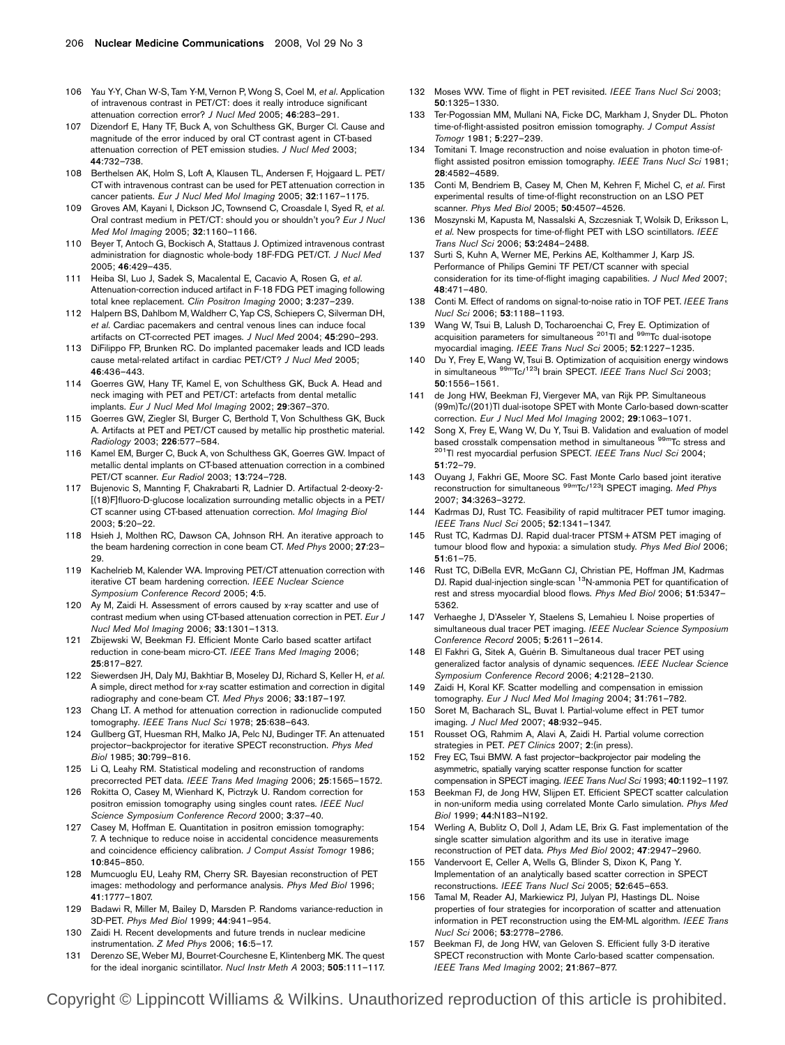- 106 Yau Y-Y, Chan W-S, Tam Y-M, Vernon P, Wong S, Coel M, et al. Application of intravenous contrast in PET/CT: does it really introduce significant attenuation correction error? J Nucl Med 2005; 46:283–291.
- 107 Dizendorf E, Hany TF, Buck A, von Schulthess GK, Burger Cl. Cause and magnitude of the error induced by oral CT contrast agent in CT-based attenuation correction of PET emission studies. J Nucl Med 2003; 44:732–738.
- 108 Berthelsen AK, Holm S, Loft A, Klausen TL, Andersen F, Hojgaard L. PET/ CT with intravenous contrast can be used for PET attenuation correction in cancer patients. Eur J Nucl Med Mol Imaging 2005; 32:1167–1175.
- 109 Groves AM, Kayani I, Dickson JC, Townsend C, Croasdale I, Syed R, et al. Oral contrast medium in PET/CT: should you or shouldn't you? Eur J Nucl Med Mol Imaging 2005; 32:1160–1166.
- 110 Beyer T, Antoch G, Bockisch A, Stattaus J. Optimized intravenous contrast administration for diagnostic whole-body 18F-FDG PET/CT. J Nucl Med 2005; 46:429–435.
- 111 Heiba SI, Luo J, Sadek S, Macalental E, Cacavio A, Rosen G, et al. Attenuation-correction induced artifact in F-18 FDG PET imaging following total knee replacement. Clin Positron Imaging 2000; 3:237–239.
- 112 Halpern BS, Dahlbom M, Waldherr C, Yap CS, Schiepers C, Silverman DH, et al. Cardiac pacemakers and central venous lines can induce focal artifacts on CT-corrected PET images. J Nucl Med 2004; 45:290–293.
- 113 DiFilippo FP, Brunken RC. Do implanted pacemaker leads and ICD leads cause metal-related artifact in cardiac PET/CT? J Nucl Med 2005; 46:436–443.
- 114 Goerres GW, Hany TF, Kamel E, von Schulthess GK, Buck A. Head and neck imaging with PET and PET/CT: artefacts from dental metallic implants. Eur J Nucl Med Mol Imaging 2002; 29:367–370.
- 115 Goerres GW, Ziegler SI, Burger C, Berthold T, Von Schulthess GK, Buck A. Artifacts at PET and PET/CT caused by metallic hip prosthetic material. Radiology 2003; 226:577–584.
- 116 Kamel EM, Burger C, Buck A, von Schulthess GK, Goerres GW. Impact of metallic dental implants on CT-based attenuation correction in a combined PET/CT scanner. Eur Radiol 2003; 13:724–728.
- 117 Bujenovic S, Mannting F, Chakrabarti R, Ladnier D. Artifactual 2-deoxy-2- [(18)F]fluoro-D-glucose localization surrounding metallic objects in a PET/ CT scanner using CT-based attenuation correction. Mol Imaging Biol 2003; 5:20–22.
- 118 Hsieh J, Molthen RC, Dawson CA, Johnson RH. An iterative approach to the beam hardening correction in cone beam CT. Med Phys 2000; 27:23-29.
- 119 Kachelrieb M, Kalender WA. Improving PET/CT attenuation correction with iterative CT beam hardening correction. IEEE Nuclear Science Symposium Conference Record 2005; 4:5.
- 120 Ay M, Zaidi H. Assessment of errors caused by x-ray scatter and use of contrast medium when using CT-based attenuation correction in PET. Eur J Nucl Med Mol Imaging 2006; 33:1301–1313.
- 121 Zbijewski W, Beekman FJ. Efficient Monte Carlo based scatter artifact reduction in cone-beam micro-CT. IEEE Trans Med Imaging 2006; 25:817–827.
- 122 Siewerdsen JH, Daly MJ, Bakhtiar B, Moseley DJ, Richard S, Keller H, et al. A simple, direct method for x-ray scatter estimation and correction in digital radiography and cone-beam CT. Med Phys 2006; 33:187-197.
- 123 Chang LT. A method for attenuation correction in radionuclide computed tomography. IEEE Trans Nucl Sci 1978; 25:638-643.
- 124 Gullberg GT, Huesman RH, Malko JA, Pelc NJ, Budinger TF. An attenuated projector–backprojector for iterative SPECT reconstruction. Phys Med Biol 1985; 30:799–816.
- 125 Li Q, Leahy RM. Statistical modeling and reconstruction of randoms precorrected PET data. IEEE Trans Med Imaging 2006; 25:1565-1572.
- 126 Rokitta O, Casey M, Wienhard K, Pictrzyk U. Random correction for positron emission tomography using singles count rates. IEEE Nucl Science Symposium Conference Record 2000; 3:37–40.
- 127 Casey M, Hoffman E. Quantitation in positron emission tomography: 7. A technique to reduce noise in accidental concidence measurements and coincidence efficiency calibration. J Comput Assist Tomogr 1986; 10:845–850.
- 128 Mumcuoglu EU, Leahy RM, Cherry SR. Bayesian reconstruction of PET images: methodology and performance analysis. Phys Med Biol 1996; 41:1777–1807.
- 129 Badawi R, Miller M, Bailey D, Marsden P. Randoms variance-reduction in 3D-PET. Phys Med Biol 1999; 44:941–954.
- 130 Zaidi H. Recent developments and future trends in nuclear medicine instrumentation. Z Med Phys 2006; 16:5–17.
- 131 Derenzo SE, Weber MJ, Bourret-Courchesne E, Klintenberg MK. The quest for the ideal inorganic scintillator. Nucl Instr Meth A 2003; 505:111-117.
- 132 Moses WW. Time of flight in PET revisited. IEEE Trans Nucl Sci 2003; 50:1325–1330.
- Ter-Pogossian MM, Mullani NA, Ficke DC, Markham J, Snyder DL. Photon time-of-flight-assisted positron emission tomography. J Comput Assist Tomogr 1981; 5:227–239.
- 134 Tomitani T. Image reconstruction and noise evaluation in photon time-offlight assisted positron emission tomography. IEEE Trans Nucl Sci 1981; 28:4582–4589.
- 135 Conti M, Bendriem B, Casey M, Chen M, Kehren F, Michel C, et al. First experimental results of time-of-flight reconstruction on an LSO PET scanner. Phys Med Biol 2005; 50:4507-4526.
- 136 Moszynski M, Kapusta M, Nassalski A, Szczesniak T, Wolsik D, Eriksson L, et al. New prospects for time-of-flight PET with LSO scintillators. IEEE Trans Nucl Sci 2006; 53:2484–2488.
- 137 Surti S, Kuhn A, Werner ME, Perkins AE, Kolthammer J, Karp JS. Performance of Philips Gemini TF PET/CT scanner with special consideration for its time-of-flight imaging capabilities. J Nucl Med 2007; 48:471–480.
- 138 Conti M. Effect of randoms on signal-to-noise ratio in TOF PET. IEEE Trans Nucl Sci 2006; 53:1188–1193.
- 139 Wang W, Tsui B, Lalush D, Tocharoenchai C, Frey E. Optimization of acquisition parameters for simultaneous <sup>201</sup>Tl and <sup>99m</sup>Tc dual-isotope myocardial imaging. IEEE Trans Nucl Sci 2005; 52:1227–1235.
- 140 Du Y, Frey E, Wang W, Tsui B. Optimization of acquisition energy windows in simultaneous <sup>99m</sup>Tc/<sup>123</sup>I brain SPECT. IEEE Trans Nucl Sci 2003; 50:1556–1561.
- 141 de Jong HW, Beekman FJ, Viergever MA, van Rijk PP. Simultaneous (99m)Tc/(201)Tl dual-isotope SPET with Monte Carlo-based down-scatter correction. Eur J Nucl Med Mol Imaging 2002; 29:1063–1071.
- 142 Song X, Frey E, Wang W, Du Y, Tsui B. Validation and evaluation of model based crosstalk compensation method in simultaneous <sup>99m</sup>Tc stress and<br><sup>201</sup>Tl rest myocardial perfusion SPECT. IEEE Trans Nucl Sci 2004; 51:72–79.
- 143 Ouyang J, Fakhri GE, Moore SC. Fast Monte Carlo based joint iterative reconstruction for simultaneous <sup>99m</sup>Tc/<sup>123</sup>I SPECT imaging. Med Phys 2007; 34:3263–3272.
- 144 Kadrmas DJ, Rust TC. Feasibility of rapid multitracer PET tumor imaging. IEEE Trans Nucl Sci 2005; 52:1341–1347.
- Rust TC, Kadrmas DJ. Rapid dual-tracer PTSM + ATSM PET imaging of tumour blood flow and hypoxia: a simulation study. Phys Med Biol 2006; 51:61–75.
- 146 Rust TC, DiBella EVR, McGann CJ, Christian PE, Hoffman JM, Kadrmas DJ. Rapid dual-injection single-scan <sup>13</sup>N-ammonia PET for quantification of rest and stress myocardial blood flows. Phys Med Biol 2006; 51:5347– 5362.
- 147 Verhaeghe J, D'Asseler Y, Staelens S, Lemahieu I. Noise properties of simultaneous dual tracer PET imaging. IEEE Nuclear Science Symposium Conference Record 2005; 5:2611–2614.
- 148 El Fakhri G. Sitek A, Guérin B. Simultaneous dual tracer PET using generalized factor analysis of dynamic sequences. IEEE Nuclear Science Symposium Conference Record 2006; 4:2128–2130.
- 149 Zaidi H, Koral KF. Scatter modelling and compensation in emission tomography. Eur J Nucl Med Mol Imaging 2004; 31:761–782.
- 150 Soret M, Bacharach SL, Buvat I. Partial-volume effect in PET tumor imaging. J Nucl Med 2007; 48:932–945.
- 151 Rousset OG, Rahmim A, Alavi A, Zaidi H. Partial volume correction strategies in PET. PET Clinics 2007; 2: (in press).
- 152 Frey EC, Tsui BMW. A fast projector–backprojector pair modeling the asymmetric, spatially varying scatter response function for scatter compensation in SPECT imaging. IEEE Trans Nucl Sci 1993; 40:1192–1197.
- 153 Beekman FJ, de Jong HW, Slijpen ET. Efficient SPECT scatter calculation in non-uniform media using correlated Monte Carlo simulation. Phys Med Biol 1999; 44:N183–N192.
- 154 Werling A, Bublitz O, Doll J, Adam LE, Brix G. Fast implementation of the single scatter simulation algorithm and its use in iterative image reconstruction of PET data. Phys Med Biol 2002; 47:2947–2960.
- 155 Vandervoort E, Celler A, Wells G, Blinder S, Dixon K, Pang Y. Implementation of an analytically based scatter correction in SPECT reconstructions. IEEE Trans Nucl Sci 2005; 52:645–653.
- Tamal M, Reader AJ, Markiewicz PJ, Julyan PJ, Hastings DL. Noise properties of four strategies for incorporation of scatter and attenuation information in PET reconstruction using the EM-ML algorithm. IEEE Trans Nucl Sci 2006; 53:2778–2786.
- 157 Beekman FJ, de Jong HW, van Geloven S. Efficient fully 3-D iterative SPECT reconstruction with Monte Carlo-based scatter compensation. IEEE Trans Med Imaging 2002; 21:867–877.